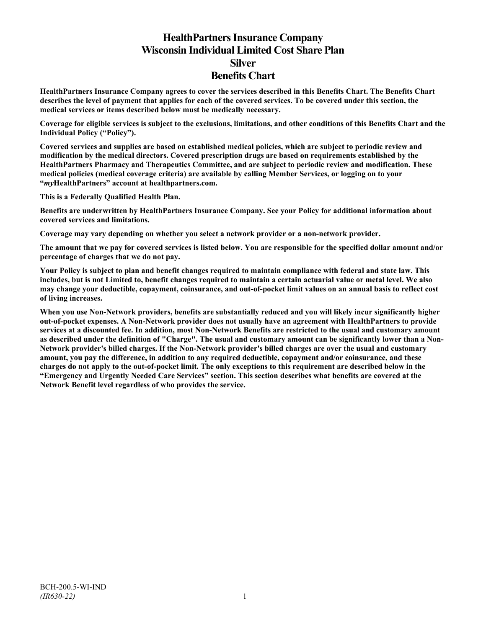# **HealthPartners Insurance Company Wisconsin Individual Limited Cost Share Plan Silver Benefits Chart**

**HealthPartners Insurance Company agrees to cover the services described in this Benefits Chart. The Benefits Chart describes the level of payment that applies for each of the covered services. To be covered under this section, the medical services or items described below must be medically necessary.**

**Coverage for eligible services is subject to the exclusions, limitations, and other conditions of this Benefits Chart and the Individual Policy ("Policy").**

**Covered services and supplies are based on established medical policies, which are subject to periodic review and modification by the medical directors. Covered prescription drugs are based on requirements established by the HealthPartners Pharmacy and Therapeutics Committee, and are subject to periodic review and modification. These medical policies (medical coverage criteria) are available by calling Member Services, or logging on to your "***my***HealthPartners" account at [healthpartners.com.](http://www.healthpartners.com/)**

**This is a Federally Qualified Health Plan.**

**Benefits are underwritten by HealthPartners Insurance Company. See your Policy for additional information about covered services and limitations.**

**Coverage may vary depending on whether you select a network provider or a non-network provider.**

**The amount that we pay for covered services is listed below. You are responsible for the specified dollar amount and/or percentage of charges that we do not pay.**

**Your Policy is subject to plan and benefit changes required to maintain compliance with federal and state law. This includes, but is not Limited to, benefit changes required to maintain a certain actuarial value or metal level. We also may change your deductible, copayment, coinsurance, and out-of-pocket limit values on an annual basis to reflect cost of living increases.**

**When you use Non-Network providers, benefits are substantially reduced and you will likely incur significantly higher out-of-pocket expenses. A Non-Network provider does not usually have an agreement with HealthPartners to provide services at a discounted fee. In addition, most Non-Network Benefits are restricted to the usual and customary amount as described under the definition of "Charge". The usual and customary amount can be significantly lower than a Non-Network provider's billed charges. If the Non-Network provider's billed charges are over the usual and customary amount, you pay the difference, in addition to any required deductible, copayment and/or coinsurance, and these charges do not apply to the out-of-pocket limit. The only exceptions to this requirement are described below in the "Emergency and Urgently Needed Care Services" section. This section describes what benefits are covered at the Network Benefit level regardless of who provides the service.**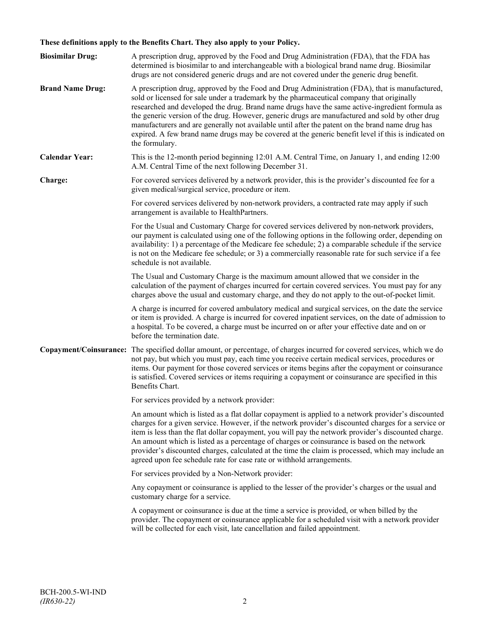## **These definitions apply to the Benefits Chart. They also apply to your Policy.**

| <b>Biosimilar Drug:</b> | A prescription drug, approved by the Food and Drug Administration (FDA), that the FDA has<br>determined is biosimilar to and interchangeable with a biological brand name drug. Biosimilar<br>drugs are not considered generic drugs and are not covered under the generic drug benefit.                                                                                                                                                                                                                                                                                                                                     |
|-------------------------|------------------------------------------------------------------------------------------------------------------------------------------------------------------------------------------------------------------------------------------------------------------------------------------------------------------------------------------------------------------------------------------------------------------------------------------------------------------------------------------------------------------------------------------------------------------------------------------------------------------------------|
| <b>Brand Name Drug:</b> | A prescription drug, approved by the Food and Drug Administration (FDA), that is manufactured,<br>sold or licensed for sale under a trademark by the pharmaceutical company that originally<br>researched and developed the drug. Brand name drugs have the same active-ingredient formula as<br>the generic version of the drug. However, generic drugs are manufactured and sold by other drug<br>manufacturers and are generally not available until after the patent on the brand name drug has<br>expired. A few brand name drugs may be covered at the generic benefit level if this is indicated on<br>the formulary. |
| <b>Calendar Year:</b>   | This is the 12-month period beginning 12:01 A.M. Central Time, on January 1, and ending 12:00<br>A.M. Central Time of the next following December 31.                                                                                                                                                                                                                                                                                                                                                                                                                                                                        |
| Charge:                 | For covered services delivered by a network provider, this is the provider's discounted fee for a<br>given medical/surgical service, procedure or item.                                                                                                                                                                                                                                                                                                                                                                                                                                                                      |
|                         | For covered services delivered by non-network providers, a contracted rate may apply if such<br>arrangement is available to HealthPartners.                                                                                                                                                                                                                                                                                                                                                                                                                                                                                  |
|                         | For the Usual and Customary Charge for covered services delivered by non-network providers,<br>our payment is calculated using one of the following options in the following order, depending on<br>availability: 1) a percentage of the Medicare fee schedule; 2) a comparable schedule if the service<br>is not on the Medicare fee schedule; or 3) a commercially reasonable rate for such service if a fee<br>schedule is not available.                                                                                                                                                                                 |
|                         | The Usual and Customary Charge is the maximum amount allowed that we consider in the<br>calculation of the payment of charges incurred for certain covered services. You must pay for any<br>charges above the usual and customary charge, and they do not apply to the out-of-pocket limit.                                                                                                                                                                                                                                                                                                                                 |
|                         | A charge is incurred for covered ambulatory medical and surgical services, on the date the service<br>or item is provided. A charge is incurred for covered inpatient services, on the date of admission to<br>a hospital. To be covered, a charge must be incurred on or after your effective date and on or<br>before the termination date.                                                                                                                                                                                                                                                                                |
|                         | Copayment/Coinsurance: The specified dollar amount, or percentage, of charges incurred for covered services, which we do<br>not pay, but which you must pay, each time you receive certain medical services, procedures or<br>items. Our payment for those covered services or items begins after the copayment or coinsurance<br>is satisfied. Covered services or items requiring a copayment or coinsurance are specified in this<br>Benefits Chart.                                                                                                                                                                      |
|                         | For services provided by a network provider:                                                                                                                                                                                                                                                                                                                                                                                                                                                                                                                                                                                 |
|                         | An amount which is listed as a flat dollar copayment is applied to a network provider's discounted<br>charges for a given service. However, if the network provider's discounted charges for a service or<br>item is less than the flat dollar copayment, you will pay the network provider's discounted charge.<br>An amount which is listed as a percentage of charges or coinsurance is based on the network<br>provider's discounted charges, calculated at the time the claim is processed, which may include an<br>agreed upon fee schedule rate for case rate or withhold arrangements.                               |
|                         | For services provided by a Non-Network provider:                                                                                                                                                                                                                                                                                                                                                                                                                                                                                                                                                                             |
|                         | Any copayment or coinsurance is applied to the lesser of the provider's charges or the usual and<br>customary charge for a service.                                                                                                                                                                                                                                                                                                                                                                                                                                                                                          |
|                         | A copayment or coinsurance is due at the time a service is provided, or when billed by the<br>provider. The copayment or coinsurance applicable for a scheduled visit with a network provider<br>will be collected for each visit, late cancellation and failed appointment.                                                                                                                                                                                                                                                                                                                                                 |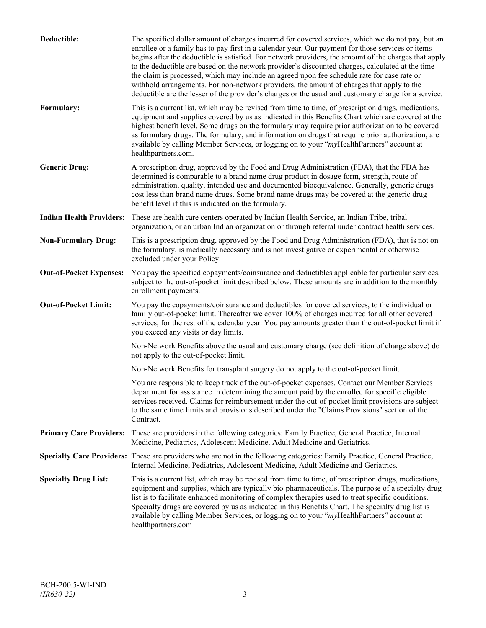| Deductible:                     | The specified dollar amount of charges incurred for covered services, which we do not pay, but an<br>enrollee or a family has to pay first in a calendar year. Our payment for those services or items<br>begins after the deductible is satisfied. For network providers, the amount of the charges that apply<br>to the deductible are based on the network provider's discounted charges, calculated at the time<br>the claim is processed, which may include an agreed upon fee schedule rate for case rate or<br>withhold arrangements. For non-network providers, the amount of charges that apply to the<br>deductible are the lesser of the provider's charges or the usual and customary charge for a service. |
|---------------------------------|-------------------------------------------------------------------------------------------------------------------------------------------------------------------------------------------------------------------------------------------------------------------------------------------------------------------------------------------------------------------------------------------------------------------------------------------------------------------------------------------------------------------------------------------------------------------------------------------------------------------------------------------------------------------------------------------------------------------------|
| Formulary:                      | This is a current list, which may be revised from time to time, of prescription drugs, medications,<br>equipment and supplies covered by us as indicated in this Benefits Chart which are covered at the<br>highest benefit level. Some drugs on the formulary may require prior authorization to be covered<br>as formulary drugs. The formulary, and information on drugs that require prior authorization, are<br>available by calling Member Services, or logging on to your "myHealthPartners" account at<br>healthpartners.com.                                                                                                                                                                                   |
| <b>Generic Drug:</b>            | A prescription drug, approved by the Food and Drug Administration (FDA), that the FDA has<br>determined is comparable to a brand name drug product in dosage form, strength, route of<br>administration, quality, intended use and documented bioequivalence. Generally, generic drugs<br>cost less than brand name drugs. Some brand name drugs may be covered at the generic drug<br>benefit level if this is indicated on the formulary.                                                                                                                                                                                                                                                                             |
| <b>Indian Health Providers:</b> | These are health care centers operated by Indian Health Service, an Indian Tribe, tribal<br>organization, or an urban Indian organization or through referral under contract health services.                                                                                                                                                                                                                                                                                                                                                                                                                                                                                                                           |
| <b>Non-Formulary Drug:</b>      | This is a prescription drug, approved by the Food and Drug Administration (FDA), that is not on<br>the formulary, is medically necessary and is not investigative or experimental or otherwise<br>excluded under your Policy.                                                                                                                                                                                                                                                                                                                                                                                                                                                                                           |
| <b>Out-of-Pocket Expenses:</b>  | You pay the specified copayments/coinsurance and deductibles applicable for particular services,<br>subject to the out-of-pocket limit described below. These amounts are in addition to the monthly<br>enrollment payments.                                                                                                                                                                                                                                                                                                                                                                                                                                                                                            |
| <b>Out-of-Pocket Limit:</b>     | You pay the copayments/coinsurance and deductibles for covered services, to the individual or<br>family out-of-pocket limit. Thereafter we cover 100% of charges incurred for all other covered<br>services, for the rest of the calendar year. You pay amounts greater than the out-of-pocket limit if<br>you exceed any visits or day limits.                                                                                                                                                                                                                                                                                                                                                                         |
|                                 | Non-Network Benefits above the usual and customary charge (see definition of charge above) do<br>not apply to the out-of-pocket limit.                                                                                                                                                                                                                                                                                                                                                                                                                                                                                                                                                                                  |
|                                 | Non-Network Benefits for transplant surgery do not apply to the out-of-pocket limit.                                                                                                                                                                                                                                                                                                                                                                                                                                                                                                                                                                                                                                    |
|                                 | You are responsible to keep track of the out-of-pocket expenses. Contact our Member Services<br>department for assistance in determining the amount paid by the enrollee for specific eligible<br>services received. Claims for reimbursement under the out-of-pocket limit provisions are subject<br>to the same time limits and provisions described under the "Claims Provisions" section of the<br>Contract.                                                                                                                                                                                                                                                                                                        |
| <b>Primary Care Providers:</b>  | These are providers in the following categories: Family Practice, General Practice, Internal<br>Medicine, Pediatrics, Adolescent Medicine, Adult Medicine and Geriatrics.                                                                                                                                                                                                                                                                                                                                                                                                                                                                                                                                               |
|                                 | Specialty Care Providers: These are providers who are not in the following categories: Family Practice, General Practice,<br>Internal Medicine, Pediatrics, Adolescent Medicine, Adult Medicine and Geriatrics.                                                                                                                                                                                                                                                                                                                                                                                                                                                                                                         |
| <b>Specialty Drug List:</b>     | This is a current list, which may be revised from time to time, of prescription drugs, medications,<br>equipment and supplies, which are typically bio-pharmaceuticals. The purpose of a specialty drug<br>list is to facilitate enhanced monitoring of complex therapies used to treat specific conditions.<br>Specialty drugs are covered by us as indicated in this Benefits Chart. The specialty drug list is<br>available by calling Member Services, or logging on to your "myHealthPartners" account at<br>healthpartners.com                                                                                                                                                                                    |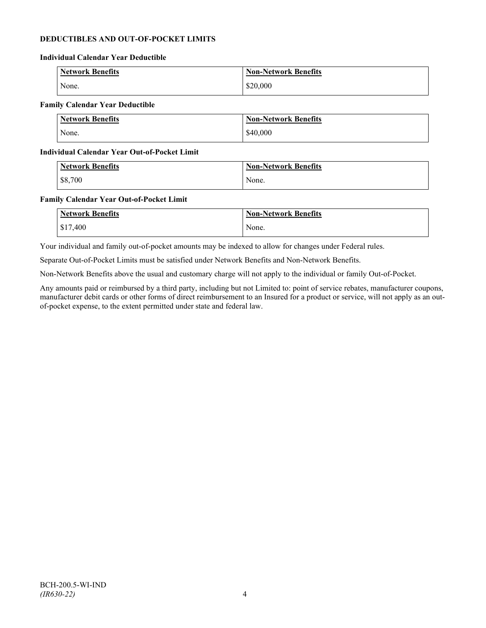## **DEDUCTIBLES AND OUT-OF-POCKET LIMITS**

#### **Individual Calendar Year Deductible**

| Network Benefits | <b>Non-Network Benefits</b> |
|------------------|-----------------------------|
| None.            | \$20,000                    |

### **Family Calendar Year Deductible**

| Network Benefits | <b>Non-Network Benefits</b> |
|------------------|-----------------------------|
| None.            | \$40,000                    |

#### **Individual Calendar Year Out-of-Pocket Limit**

| <b>Network Benefits</b> | <b>Non-Network Benefits</b> |
|-------------------------|-----------------------------|
| \$8,700                 | None.                       |

#### **Family Calendar Year Out-of-Pocket Limit**

| <b>Network Benefits</b> | <b>Non-Network Benefits</b> |
|-------------------------|-----------------------------|
| \$17,400                | None.                       |

Your individual and family out-of-pocket amounts may be indexed to allow for changes under Federal rules.

Separate Out-of-Pocket Limits must be satisfied under Network Benefits and Non-Network Benefits.

Non-Network Benefits above the usual and customary charge will not apply to the individual or family Out-of-Pocket.

Any amounts paid or reimbursed by a third party, including but not Limited to: point of service rebates, manufacturer coupons, manufacturer debit cards or other forms of direct reimbursement to an Insured for a product or service, will not apply as an outof-pocket expense, to the extent permitted under state and federal law.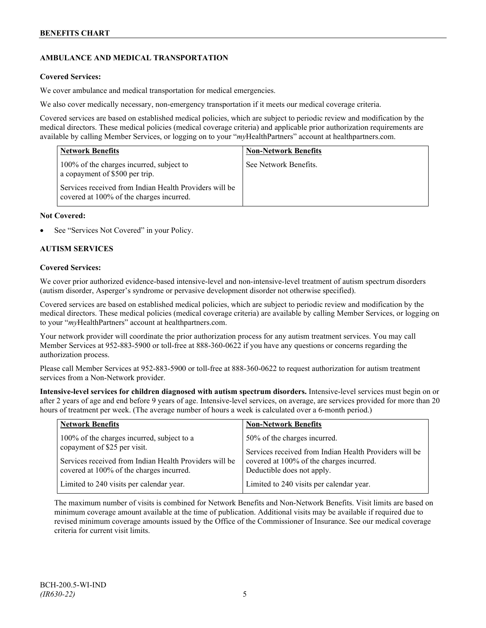## **AMBULANCE AND MEDICAL TRANSPORTATION**

### **Covered Services:**

We cover ambulance and medical transportation for medical emergencies.

We also cover medically necessary, non-emergency transportation if it meets our medical coverage criteria.

Covered services are based on established medical policies, which are subject to periodic review and modification by the medical directors. These medical policies (medical coverage criteria) and applicable prior authorization requirements are available by calling Member Services, or logging on to your "*my*HealthPartners" account a[t healthpartners.com.](http://www.healthpartners.com/)

| <b>Network Benefits</b>                                                                            | <b>Non-Network Benefits</b> |
|----------------------------------------------------------------------------------------------------|-----------------------------|
| 100% of the charges incurred, subject to<br>a copayment of \$500 per trip.                         | See Network Benefits.       |
| Services received from Indian Health Providers will be<br>covered at 100% of the charges incurred. |                             |

### **Not Covered:**

See "Services Not Covered" in your Policy.

### **AUTISM SERVICES**

#### **Covered Services:**

We cover prior authorized evidence-based intensive-level and non-intensive-level treatment of autism spectrum disorders (autism disorder, Asperger's syndrome or pervasive development disorder not otherwise specified).

Covered services are based on established medical policies, which are subject to periodic review and modification by the medical directors. These medical policies (medical coverage criteria) are available by calling Member Services, or logging on to your "*my*HealthPartners" account at [healthpartners.com.](http://www.healthpartners.com/)

Your network provider will coordinate the prior authorization process for any autism treatment services. You may call Member Services at 952-883-5900 or toll-free at 888-360-0622 if you have any questions or concerns regarding the authorization process.

Please call Member Services at 952-883-5900 or toll-free at 888-360-0622 to request authorization for autism treatment services from a Non-Network provider.

**Intensive-level services for children diagnosed with autism spectrum disorders.** Intensive-level services must begin on or after 2 years of age and end before 9 years of age. Intensive-level services, on average, are services provided for more than 20 hours of treatment per week. (The average number of hours a week is calculated over a 6-month period.)

| <b>Network Benefits</b>                                | <b>Non-Network Benefits</b>                            |
|--------------------------------------------------------|--------------------------------------------------------|
| 100% of the charges incurred, subject to a             | 50% of the charges incurred.                           |
| copayment of \$25 per visit.                           | Services received from Indian Health Providers will be |
| Services received from Indian Health Providers will be | covered at 100% of the charges incurred.               |
| covered at 100% of the charges incurred.               | Deductible does not apply.                             |
| Limited to 240 visits per calendar year.               | Limited to 240 visits per calendar year.               |

The maximum number of visits is combined for Network Benefits and Non-Network Benefits. Visit limits are based on minimum coverage amount available at the time of publication. Additional visits may be available if required due to revised minimum coverage amounts issued by the Office of the Commissioner of Insurance. See our medical coverage criteria for current visit limits.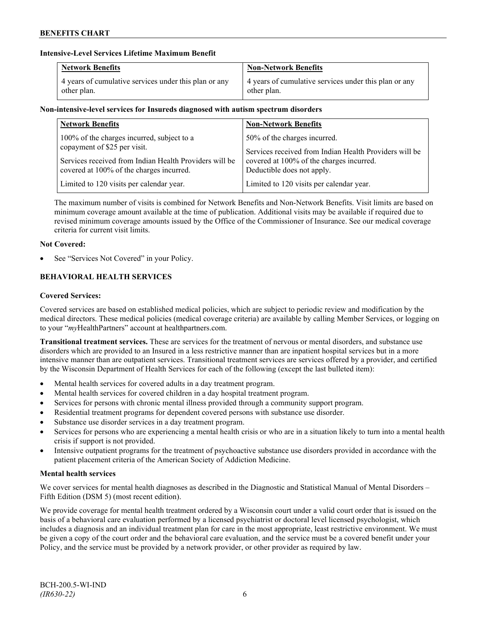### **Intensive-Level Services Lifetime Maximum Benefit**

| <b>Network Benefits</b>                               | <b>Non-Network Benefits</b>                           |
|-------------------------------------------------------|-------------------------------------------------------|
| 4 years of cumulative services under this plan or any | 4 years of cumulative services under this plan or any |
| other plan.                                           | other plan.                                           |

### **Non-intensive-level services for Insureds diagnosed with autism spectrum disorders**

| <b>Network Benefits</b>                                                                            | <b>Non-Network Benefits</b>                                            |
|----------------------------------------------------------------------------------------------------|------------------------------------------------------------------------|
| 100% of the charges incurred, subject to a                                                         | 50% of the charges incurred.                                           |
| copayment of \$25 per visit.                                                                       | Services received from Indian Health Providers will be                 |
| Services received from Indian Health Providers will be<br>covered at 100% of the charges incurred. | covered at 100% of the charges incurred.<br>Deductible does not apply. |
| Limited to 120 visits per calendar year.                                                           | Limited to 120 visits per calendar year.                               |
|                                                                                                    |                                                                        |

The maximum number of visits is combined for Network Benefits and Non-Network Benefits. Visit limits are based on minimum coverage amount available at the time of publication. Additional visits may be available if required due to revised minimum coverage amounts issued by the Office of the Commissioner of Insurance. See our medical coverage criteria for current visit limits.

### **Not Covered:**

See "Services Not Covered" in your Policy.

## **BEHAVIORAL HEALTH SERVICES**

### **Covered Services:**

Covered services are based on established medical policies, which are subject to periodic review and modification by the medical directors. These medical policies (medical coverage criteria) are available by calling Member Services, or logging on to your "*my*HealthPartners" account at [healthpartners.com.](http://www.healthpartners.com/)

**Transitional treatment services.** These are services for the treatment of nervous or mental disorders, and substance use disorders which are provided to an Insured in a less restrictive manner than are inpatient hospital services but in a more intensive manner than are outpatient services. Transitional treatment services are services offered by a provider, and certified by the Wisconsin Department of Health Services for each of the following (except the last bulleted item):

- Mental health services for covered adults in a day treatment program.
- Mental health services for covered children in a day hospital treatment program.
- Services for persons with chronic mental illness provided through a community support program.
- Residential treatment programs for dependent covered persons with substance use disorder.
- Substance use disorder services in a day treatment program.
- Services for persons who are experiencing a mental health crisis or who are in a situation likely to turn into a mental health crisis if support is not provided.
- Intensive outpatient programs for the treatment of psychoactive substance use disorders provided in accordance with the patient placement criteria of the American Society of Addiction Medicine.

### **Mental health services**

We cover services for mental health diagnoses as described in the Diagnostic and Statistical Manual of Mental Disorders – Fifth Edition (DSM 5) (most recent edition).

We provide coverage for mental health treatment ordered by a Wisconsin court under a valid court order that is issued on the basis of a behavioral care evaluation performed by a licensed psychiatrist or doctoral level licensed psychologist, which includes a diagnosis and an individual treatment plan for care in the most appropriate, least restrictive environment. We must be given a copy of the court order and the behavioral care evaluation, and the service must be a covered benefit under your Policy, and the service must be provided by a network provider, or other provider as required by law.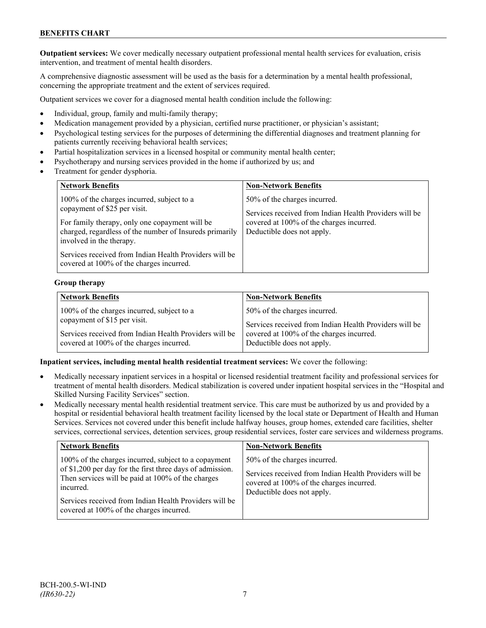## **BENEFITS CHART**

**Outpatient services:** We cover medically necessary outpatient professional mental health services for evaluation, crisis intervention, and treatment of mental health disorders.

A comprehensive diagnostic assessment will be used as the basis for a determination by a mental health professional, concerning the appropriate treatment and the extent of services required.

Outpatient services we cover for a diagnosed mental health condition include the following:

- Individual, group, family and multi-family therapy;
- Medication management provided by a physician, certified nurse practitioner, or physician's assistant;
- Psychological testing services for the purposes of determining the differential diagnoses and treatment planning for patients currently receiving behavioral health services;
- Partial hospitalization services in a licensed hospital or community mental health center;
- Psychotherapy and nursing services provided in the home if authorized by us; and
- Treatment for gender dysphoria.

| <b>Network Benefits</b>                                                                                                                                                                                                                                                                                                   | <b>Non-Network Benefits</b>                                                                                                                                      |
|---------------------------------------------------------------------------------------------------------------------------------------------------------------------------------------------------------------------------------------------------------------------------------------------------------------------------|------------------------------------------------------------------------------------------------------------------------------------------------------------------|
| 100% of the charges incurred, subject to a<br>copayment of \$25 per visit.<br>For family therapy, only one copayment will be<br>charged, regardless of the number of Insureds primarily<br>involved in the therapy.<br>Services received from Indian Health Providers will be<br>covered at 100% of the charges incurred. | 50% of the charges incurred.<br>Services received from Indian Health Providers will be<br>covered at 100% of the charges incurred.<br>Deductible does not apply. |

### **Group therapy**

| <b>Network Benefits</b>                                | <b>Non-Network Benefits</b>                            |
|--------------------------------------------------------|--------------------------------------------------------|
| 100% of the charges incurred, subject to a             | 50% of the charges incurred.                           |
| copayment of \$15 per visit.                           | Services received from Indian Health Providers will be |
| Services received from Indian Health Providers will be | covered at 100% of the charges incurred.               |
| covered at 100% of the charges incurred.               | Deductible does not apply.                             |

### **Inpatient services, including mental health residential treatment services:** We cover the following:

- Medically necessary inpatient services in a hospital or licensed residential treatment facility and professional services for treatment of mental health disorders. Medical stabilization is covered under inpatient hospital services in the "Hospital and Skilled Nursing Facility Services" section.
- Medically necessary mental health residential treatment service. This care must be authorized by us and provided by a hospital or residential behavioral health treatment facility licensed by the local state or Department of Health and Human Services. Services not covered under this benefit include halfway houses, group homes, extended care facilities, shelter services, correctional services, detention services, group residential services, foster care services and wilderness programs.

| <b>Network Benefits</b>                                                                                                                                                                                                                                                                   | <b>Non-Network Benefits</b>                                                                                                                                      |
|-------------------------------------------------------------------------------------------------------------------------------------------------------------------------------------------------------------------------------------------------------------------------------------------|------------------------------------------------------------------------------------------------------------------------------------------------------------------|
| 100% of the charges incurred, subject to a copayment<br>of \$1,200 per day for the first three days of admission.<br>Then services will be paid at 100% of the charges<br>incurred.<br>Services received from Indian Health Providers will be<br>covered at 100% of the charges incurred. | 50% of the charges incurred.<br>Services received from Indian Health Providers will be<br>covered at 100% of the charges incurred.<br>Deductible does not apply. |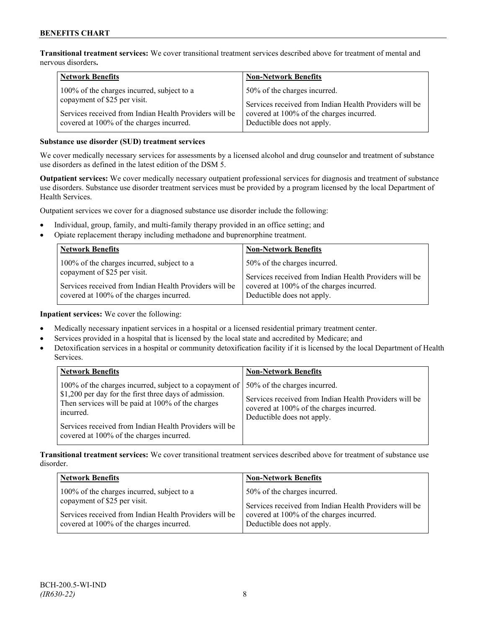**Transitional treatment services:** We cover transitional treatment services described above for treatment of mental and nervous disorders**.**

| <b>Network Benefits</b>                                                    | <b>Non-Network Benefits</b>                                                                        |
|----------------------------------------------------------------------------|----------------------------------------------------------------------------------------------------|
| 100% of the charges incurred, subject to a<br>copayment of \$25 per visit. | 50% of the charges incurred.                                                                       |
| Services received from Indian Health Providers will be                     | Services received from Indian Health Providers will be<br>covered at 100% of the charges incurred. |
| covered at 100% of the charges incurred.                                   | Deductible does not apply.                                                                         |

### **Substance use disorder (SUD) treatment services**

We cover medically necessary services for assessments by a licensed alcohol and drug counselor and treatment of substance use disorders as defined in the latest edition of the DSM 5.

**Outpatient services:** We cover medically necessary outpatient professional services for diagnosis and treatment of substance use disorders. Substance use disorder treatment services must be provided by a program licensed by the local Department of Health Services.

Outpatient services we cover for a diagnosed substance use disorder include the following:

- Individual, group, family, and multi-family therapy provided in an office setting; and
- Opiate replacement therapy including methadone and buprenorphine treatment.

| <b>Network Benefits</b>                                                                            | <b>Non-Network Benefits</b>                                            |
|----------------------------------------------------------------------------------------------------|------------------------------------------------------------------------|
| 100% of the charges incurred, subject to a                                                         | 50% of the charges incurred.                                           |
| copayment of \$25 per visit.                                                                       | Services received from Indian Health Providers will be                 |
| Services received from Indian Health Providers will be<br>covered at 100% of the charges incurred. | covered at 100% of the charges incurred.<br>Deductible does not apply. |

**Inpatient services:** We cover the following:

- Medically necessary inpatient services in a hospital or a licensed residential primary treatment center.
- Services provided in a hospital that is licensed by the local state and accredited by Medicare; and
- Detoxification services in a hospital or community detoxification facility if it is licensed by the local Department of Health Services.

| <b>Network Benefits</b>                                                                                                                                                                                                                                                                     | <b>Non-Network Benefits</b>                                                                                                                                      |
|---------------------------------------------------------------------------------------------------------------------------------------------------------------------------------------------------------------------------------------------------------------------------------------------|------------------------------------------------------------------------------------------------------------------------------------------------------------------|
| 100% of the charges incurred, subject to a copayment of  <br>\$1,200 per day for the first three days of admission.<br>Then services will be paid at 100% of the charges<br>incurred.<br>Services received from Indian Health Providers will be<br>covered at 100% of the charges incurred. | 50% of the charges incurred.<br>Services received from Indian Health Providers will be<br>covered at 100% of the charges incurred.<br>Deductible does not apply. |

**Transitional treatment services:** We cover transitional treatment services described above for treatment of substance use disorder.

| <b>Network Benefits</b>                                | <b>Non-Network Benefits</b>                            |
|--------------------------------------------------------|--------------------------------------------------------|
| 100% of the charges incurred, subject to a             | 50% of the charges incurred.                           |
| copayment of \$25 per visit.                           | Services received from Indian Health Providers will be |
| Services received from Indian Health Providers will be | covered at 100% of the charges incurred.               |
| covered at 100% of the charges incurred.               | Deductible does not apply.                             |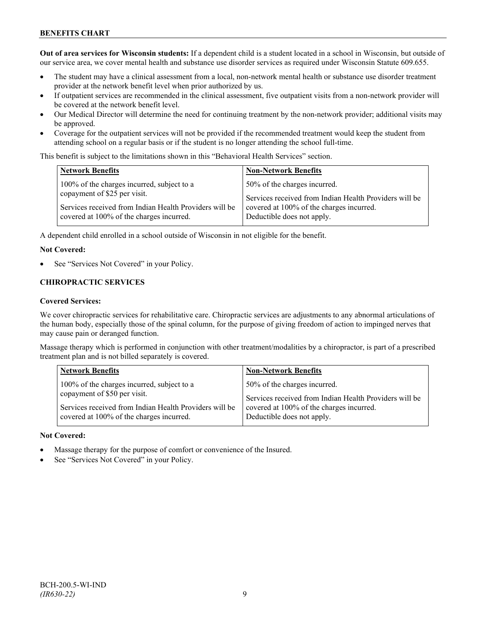## **BENEFITS CHART**

**Out of area services for Wisconsin students:** If a dependent child is a student located in a school in Wisconsin, but outside of our service area, we cover mental health and substance use disorder services as required under Wisconsin Statute 609.655.

- The student may have a clinical assessment from a local, non-network mental health or substance use disorder treatment provider at the network benefit level when prior authorized by us.
- If outpatient services are recommended in the clinical assessment, five outpatient visits from a non-network provider will be covered at the network benefit level.
- Our Medical Director will determine the need for continuing treatment by the non-network provider; additional visits may be approved.
- Coverage for the outpatient services will not be provided if the recommended treatment would keep the student from attending school on a regular basis or if the student is no longer attending the school full-time.

This benefit is subject to the limitations shown in this "Behavioral Health Services" section.

| <b>Network Benefits</b>                                                                                                                                                          | <b>Non-Network Benefits</b>                                                                                                                                      |
|----------------------------------------------------------------------------------------------------------------------------------------------------------------------------------|------------------------------------------------------------------------------------------------------------------------------------------------------------------|
| 100% of the charges incurred, subject to a<br>copayment of \$25 per visit.<br>Services received from Indian Health Providers will be<br>covered at 100% of the charges incurred. | 50% of the charges incurred.<br>Services received from Indian Health Providers will be<br>covered at 100% of the charges incurred.<br>Deductible does not apply. |
|                                                                                                                                                                                  |                                                                                                                                                                  |

A dependent child enrolled in a school outside of Wisconsin in not eligible for the benefit.

#### **Not Covered:**

See "Services Not Covered" in your Policy.

#### **CHIROPRACTIC SERVICES**

#### **Covered Services:**

We cover chiropractic services for rehabilitative care. Chiropractic services are adjustments to any abnormal articulations of the human body, especially those of the spinal column, for the purpose of giving freedom of action to impinged nerves that may cause pain or deranged function.

Massage therapy which is performed in conjunction with other treatment/modalities by a chiropractor, is part of a prescribed treatment plan and is not billed separately is covered.

| <b>Network Benefits</b>                                | <b>Non-Network Benefits</b>                            |
|--------------------------------------------------------|--------------------------------------------------------|
| 100% of the charges incurred, subject to a             | 50% of the charges incurred.                           |
| copayment of \$50 per visit.                           | Services received from Indian Health Providers will be |
| Services received from Indian Health Providers will be | covered at 100% of the charges incurred.               |
| covered at 100% of the charges incurred.               | Deductible does not apply.                             |

#### **Not Covered:**

- Massage therapy for the purpose of comfort or convenience of the Insured.
- See "Services Not Covered" in your Policy.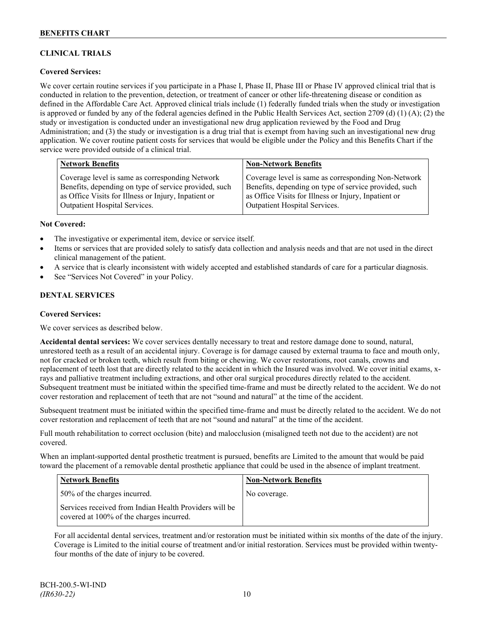## **CLINICAL TRIALS**

### **Covered Services:**

We cover certain routine services if you participate in a Phase I, Phase II, Phase III or Phase IV approved clinical trial that is conducted in relation to the prevention, detection, or treatment of cancer or other life-threatening disease or condition as defined in the Affordable Care Act. Approved clinical trials include (1) federally funded trials when the study or investigation is approved or funded by any of the federal agencies defined in the Public Health Services Act, section 2709 (d) (1) (A); (2) the study or investigation is conducted under an investigational new drug application reviewed by the Food and Drug Administration; and (3) the study or investigation is a drug trial that is exempt from having such an investigational new drug application. We cover routine patient costs for services that would be eligible under the Policy and this Benefits Chart if the service were provided outside of a clinical trial.

| <b>Network Benefits</b>                               | <b>Non-Network Benefits</b>                           |
|-------------------------------------------------------|-------------------------------------------------------|
| Coverage level is same as corresponding Network       | Coverage level is same as corresponding Non-Network   |
| Benefits, depending on type of service provided, such | Benefits, depending on type of service provided, such |
| as Office Visits for Illness or Injury, Inpatient or  | as Office Visits for Illness or Injury, Inpatient or  |
| <b>Outpatient Hospital Services.</b>                  | <b>Outpatient Hospital Services.</b>                  |

#### **Not Covered:**

- The investigative or experimental item, device or service itself.
- Items or services that are provided solely to satisfy data collection and analysis needs and that are not used in the direct clinical management of the patient.
- A service that is clearly inconsistent with widely accepted and established standards of care for a particular diagnosis.
- See "Services Not Covered" in your Policy.

### **DENTAL SERVICES**

#### **Covered Services:**

We cover services as described below.

**Accidental dental services:** We cover services dentally necessary to treat and restore damage done to sound, natural, unrestored teeth as a result of an accidental injury. Coverage is for damage caused by external trauma to face and mouth only, not for cracked or broken teeth, which result from biting or chewing. We cover restorations, root canals, crowns and replacement of teeth lost that are directly related to the accident in which the Insured was involved. We cover initial exams, xrays and palliative treatment including extractions, and other oral surgical procedures directly related to the accident. Subsequent treatment must be initiated within the specified time-frame and must be directly related to the accident. We do not cover restoration and replacement of teeth that are not "sound and natural" at the time of the accident.

Subsequent treatment must be initiated within the specified time-frame and must be directly related to the accident. We do not cover restoration and replacement of teeth that are not "sound and natural" at the time of the accident.

Full mouth rehabilitation to correct occlusion (bite) and malocclusion (misaligned teeth not due to the accident) are not covered.

When an implant-supported dental prosthetic treatment is pursued, benefits are Limited to the amount that would be paid toward the placement of a removable dental prosthetic appliance that could be used in the absence of implant treatment.

| Network Benefits                                                                                   | <b>Non-Network Benefits</b> |
|----------------------------------------------------------------------------------------------------|-----------------------------|
| 50% of the charges incurred.                                                                       | No coverage.                |
| Services received from Indian Health Providers will be<br>covered at 100% of the charges incurred. |                             |

For all accidental dental services, treatment and/or restoration must be initiated within six months of the date of the injury. Coverage is Limited to the initial course of treatment and/or initial restoration. Services must be provided within twentyfour months of the date of injury to be covered.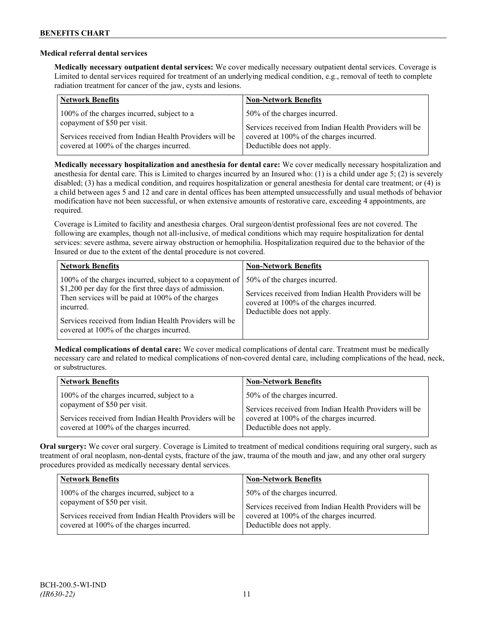#### **Medical referral dental services**

**Medically necessary outpatient dental services:** We cover medically necessary outpatient dental services. Coverage is Limited to dental services required for treatment of an underlying medical condition, e.g., removal of teeth to complete radiation treatment for cancer of the jaw, cysts and lesions.

| <b>Network Benefits</b>                                                                | <b>Non-Network Benefits</b>                                                                        |
|----------------------------------------------------------------------------------------|----------------------------------------------------------------------------------------------------|
| 100% of the charges incurred, subject to a                                             | 50% of the charges incurred.                                                                       |
| copayment of \$50 per visit.<br>Services received from Indian Health Providers will be | Services received from Indian Health Providers will be<br>covered at 100% of the charges incurred. |
| covered at 100% of the charges incurred.                                               | Deductible does not apply.                                                                         |

**Medically necessary hospitalization and anesthesia for dental care:** We cover medically necessary hospitalization and anesthesia for dental care. This is Limited to charges incurred by an Insured who: (1) is a child under age 5; (2) is severely disabled; (3) has a medical condition, and requires hospitalization or general anesthesia for dental care treatment; or (4) is a child between ages 5 and 12 and care in dental offices has been attempted unsuccessfully and usual methods of behavior modification have not been successful, or when extensive amounts of restorative care, exceeding 4 appointments, are required.

Coverage is Limited to facility and anesthesia charges. Oral surgeon/dentist professional fees are not covered. The following are examples, though not all-inclusive, of medical conditions which may require hospitalization for dental services: severe asthma, severe airway obstruction or hemophilia. Hospitalization required due to the behavior of the Insured or due to the extent of the dental procedure is not covered.

| <b>Network Benefits</b>                                                                                                                                                                                                                                                                                                  | <b>Non-Network Benefits</b>                                                                                                      |
|--------------------------------------------------------------------------------------------------------------------------------------------------------------------------------------------------------------------------------------------------------------------------------------------------------------------------|----------------------------------------------------------------------------------------------------------------------------------|
| 100% of the charges incurred, subject to a copayment of   50% of the charges incurred.<br>\$1,200 per day for the first three days of admission.<br>Then services will be paid at 100% of the charges<br>incurred.<br>Services received from Indian Health Providers will be<br>covered at 100% of the charges incurred. | Services received from Indian Health Providers will be<br>covered at 100% of the charges incurred.<br>Deductible does not apply. |

**Medical complications of dental care:** We cover medical complications of dental care. Treatment must be medically necessary care and related to medical complications of non-covered dental care, including complications of the head, neck, or substructures.

| <b>Network Benefits</b>                                | <b>Non-Network Benefits</b>                            |
|--------------------------------------------------------|--------------------------------------------------------|
| 100% of the charges incurred, subject to a             | 50% of the charges incurred.                           |
| copayment of \$50 per visit.                           | Services received from Indian Health Providers will be |
| Services received from Indian Health Providers will be | covered at 100% of the charges incurred.               |
| covered at 100% of the charges incurred.               | Deductible does not apply.                             |

**Oral surgery:** We cover oral surgery. Coverage is Limited to treatment of medical conditions requiring oral surgery, such as treatment of oral neoplasm, non-dental cysts, fracture of the jaw, trauma of the mouth and jaw, and any other oral surgery procedures provided as medically necessary dental services.

| <b>Network Benefits</b>                                | <b>Non-Network Benefits</b>                            |
|--------------------------------------------------------|--------------------------------------------------------|
| 100% of the charges incurred, subject to a             | 50% of the charges incurred.                           |
| copayment of \$50 per visit.                           | Services received from Indian Health Providers will be |
| Services received from Indian Health Providers will be | covered at 100% of the charges incurred.               |
| covered at 100% of the charges incurred.               | Deductible does not apply.                             |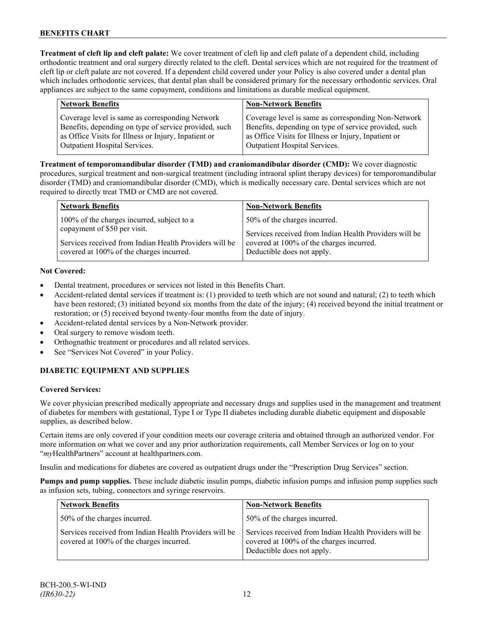**Treatment of cleft lip and cleft palate:** We cover treatment of cleft lip and cleft palate of a dependent child, including orthodontic treatment and oral surgery directly related to the cleft. Dental services which are not required for the treatment of cleft lip or cleft palate are not covered. If a dependent child covered under your Policy is also covered under a dental plan which includes orthodontic services, that dental plan shall be considered primary for the necessary orthodontic services. Oral appliances are subject to the same copayment, conditions and limitations as durable medical equipment.

| <b>Network Benefits</b>                                                                                                                                          | <b>Non-Network Benefits</b>                                                                                                                                          |
|------------------------------------------------------------------------------------------------------------------------------------------------------------------|----------------------------------------------------------------------------------------------------------------------------------------------------------------------|
| Coverage level is same as corresponding Network<br>Benefits, depending on type of service provided, such<br>as Office Visits for Illness or Injury, Inpatient or | Coverage level is same as corresponding Non-Network<br>Benefits, depending on type of service provided, such<br>as Office Visits for Illness or Injury, Inpatient or |
| <b>Outpatient Hospital Services.</b>                                                                                                                             | Outpatient Hospital Services.                                                                                                                                        |

**Treatment of temporomandibular disorder (TMD) and craniomandibular disorder (CMD):** We cover diagnostic procedures, surgical treatment and non-surgical treatment (including intraoral splint therapy devices) for temporomandibular disorder (TMD) and craniomandibular disorder (CMD), which is medically necessary care. Dental services which are not required to directly treat TMD or CMD are not covered.

| <b>Network Benefits</b>                                | <b>Non-Network Benefits</b>                            |
|--------------------------------------------------------|--------------------------------------------------------|
| 100% of the charges incurred, subject to a             | 50% of the charges incurred.                           |
| copayment of \$50 per visit.                           | Services received from Indian Health Providers will be |
| Services received from Indian Health Providers will be | covered at 100% of the charges incurred.               |
| covered at 100% of the charges incurred.               | Deductible does not apply.                             |

### **Not Covered:**

- Dental treatment, procedures or services not listed in this Benefits Chart.
- Accident-related dental services if treatment is: (1) provided to teeth which are not sound and natural; (2) to teeth which have been restored; (3) initiated beyond six months from the date of the injury; (4) received beyond the initial treatment or restoration; or (5) received beyond twenty-four months from the date of injury.
- Accident-related dental services by a Non-Network provider.
- Oral surgery to remove wisdom teeth.
- Orthognathic treatment or procedures and all related services.
- See "Services Not Covered" in your Policy.

## **DIABETIC EQUIPMENT AND SUPPLIES**

### **Covered Services:**

We cover physician prescribed medically appropriate and necessary drugs and supplies used in the management and treatment of diabetes for members with gestational, Type I or Type II diabetes including durable diabetic equipment and disposable supplies, as described below.

Certain items are only covered if your condition meets our coverage criteria and obtained through an authorized vendor. For more information on what we cover and any prior authorization requirements, call Member Services or log on to your "*my*HealthPartners" account at [healthpartners.com.](http://www.healthpartners.com/)

Insulin and medications for diabetes are covered as outpatient drugs under the "Prescription Drug Services" section.

**Pumps and pump supplies.** These include diabetic insulin pumps, diabetic infusion pumps and infusion pump supplies such as infusion sets, tubing, connectors and syringe reservoirs.

| <b>Network Benefits</b>                                                                            | <b>Non-Network Benefits</b>                                                                                                      |
|----------------------------------------------------------------------------------------------------|----------------------------------------------------------------------------------------------------------------------------------|
| 50% of the charges incurred.                                                                       | 50% of the charges incurred.                                                                                                     |
| Services received from Indian Health Providers will be<br>covered at 100% of the charges incurred. | Services received from Indian Health Providers will be<br>covered at 100% of the charges incurred.<br>Deductible does not apply. |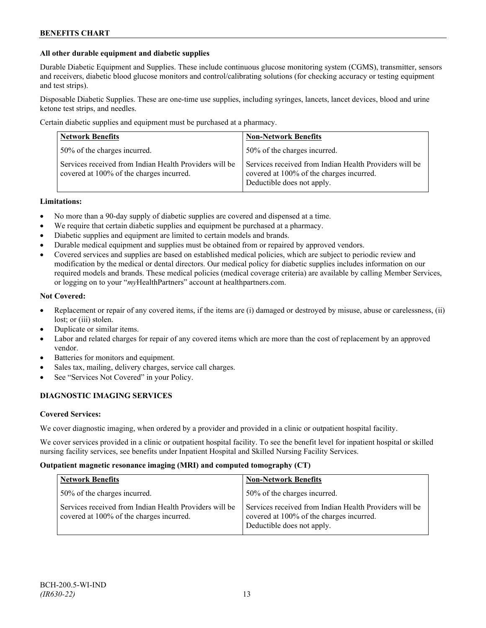### **All other durable equipment and diabetic supplies**

Durable Diabetic Equipment and Supplies. These include continuous glucose monitoring system (CGMS), transmitter, sensors and receivers, diabetic blood glucose monitors and control/calibrating solutions (for checking accuracy or testing equipment and test strips).

Disposable Diabetic Supplies. These are one-time use supplies, including syringes, lancets, lancet devices, blood and urine ketone test strips, and needles.

Certain diabetic supplies and equipment must be purchased at a pharmacy.

| <b>Network Benefits</b>                                                                            | <b>Non-Network Benefits</b>                                                                                                      |
|----------------------------------------------------------------------------------------------------|----------------------------------------------------------------------------------------------------------------------------------|
| 50% of the charges incurred.                                                                       | 50% of the charges incurred.                                                                                                     |
| Services received from Indian Health Providers will be<br>covered at 100% of the charges incurred. | Services received from Indian Health Providers will be<br>covered at 100% of the charges incurred.<br>Deductible does not apply. |

### **Limitations:**

- No more than a 90-day supply of diabetic supplies are covered and dispensed at a time.
- We require that certain diabetic supplies and equipment be purchased at a pharmacy.
- Diabetic supplies and equipment are limited to certain models and brands.
- Durable medical equipment and supplies must be obtained from or repaired by approved vendors.
- Covered services and supplies are based on established medical policies, which are subject to periodic review and modification by the medical or dental directors. Our medical policy for diabetic supplies includes information on our required models and brands. These medical policies (medical coverage criteria) are available by calling Member Services, or logging on to your "*my*HealthPartners" account at healthpartners.com.

#### **Not Covered:**

- Replacement or repair of any covered items, if the items are (i) damaged or destroyed by misuse, abuse or carelessness, (ii) lost; or (iii) stolen.
- Duplicate or similar items.
- Labor and related charges for repair of any covered items which are more than the cost of replacement by an approved vendor.
- Batteries for monitors and equipment.
- Sales tax, mailing, delivery charges, service call charges.
- See "Services Not Covered" in your Policy.

### **DIAGNOSTIC IMAGING SERVICES**

#### **Covered Services:**

We cover diagnostic imaging, when ordered by a provider and provided in a clinic or outpatient hospital facility.

We cover services provided in a clinic or outpatient hospital facility. To see the benefit level for inpatient hospital or skilled nursing facility services, see benefits under Inpatient Hospital and Skilled Nursing Facility Services.

#### **Outpatient magnetic resonance imaging (MRI) and computed tomography (CT)**

| <b>Network Benefits</b>                                                                            | <b>Non-Network Benefits</b>                                                                                                      |
|----------------------------------------------------------------------------------------------------|----------------------------------------------------------------------------------------------------------------------------------|
| 50% of the charges incurred.                                                                       | 50% of the charges incurred.                                                                                                     |
| Services received from Indian Health Providers will be<br>covered at 100% of the charges incurred. | Services received from Indian Health Providers will be<br>covered at 100% of the charges incurred.<br>Deductible does not apply. |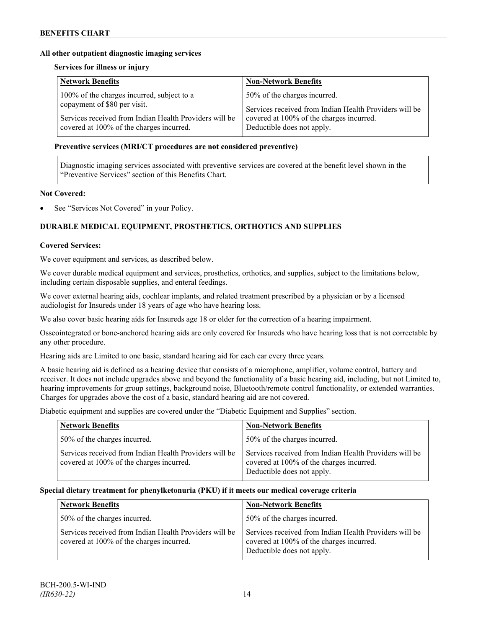### **All other outpatient diagnostic imaging services**

#### **Services for illness or injury**

| 100% of the charges incurred, subject to a             | 50% of the charges incurred.                           |
|--------------------------------------------------------|--------------------------------------------------------|
| copayment of \$80 per visit.                           | Services received from Indian Health Providers will be |
| Services received from Indian Health Providers will be | covered at 100% of the charges incurred.               |
| covered at 100% of the charges incurred.               | Deductible does not apply.                             |

#### **Preventive services (MRI/CT procedures are not considered preventive)**

Diagnostic imaging services associated with preventive services are covered at the benefit level shown in the "Preventive Services" section of this Benefits Chart.

### **Not Covered:**

See "Services Not Covered" in your Policy.

## **DURABLE MEDICAL EQUIPMENT, PROSTHETICS, ORTHOTICS AND SUPPLIES**

#### **Covered Services:**

We cover equipment and services, as described below.

We cover durable medical equipment and services, prosthetics, orthotics, and supplies, subject to the limitations below, including certain disposable supplies, and enteral feedings.

We cover external hearing aids, cochlear implants, and related treatment prescribed by a physician or by a licensed audiologist for Insureds under 18 years of age who have hearing loss.

We also cover basic hearing aids for Insureds age 18 or older for the correction of a hearing impairment.

Osseointegrated or bone-anchored hearing aids are only covered for Insureds who have hearing loss that is not correctable by any other procedure.

Hearing aids are Limited to one basic, standard hearing aid for each ear every three years.

A basic hearing aid is defined as a hearing device that consists of a microphone, amplifier, volume control, battery and receiver. It does not include upgrades above and beyond the functionality of a basic hearing aid, including, but not Limited to, hearing improvements for group settings, background noise, Bluetooth/remote control functionality, or extended warranties. Charges for upgrades above the cost of a basic, standard hearing aid are not covered.

Diabetic equipment and supplies are covered under the "Diabetic Equipment and Supplies" section.

| <b>Network Benefits</b>                                                                            | <b>Non-Network Benefits</b>                                                                                                      |
|----------------------------------------------------------------------------------------------------|----------------------------------------------------------------------------------------------------------------------------------|
| 50% of the charges incurred.                                                                       | 50% of the charges incurred.                                                                                                     |
| Services received from Indian Health Providers will be<br>covered at 100% of the charges incurred. | Services received from Indian Health Providers will be<br>covered at 100% of the charges incurred.<br>Deductible does not apply. |

#### **Special dietary treatment for phenylketonuria (PKU) if it meets our medical coverage criteria**

| <b>Network Benefits</b>                                                                            | <b>Non-Network Benefits</b>                                                                                                      |
|----------------------------------------------------------------------------------------------------|----------------------------------------------------------------------------------------------------------------------------------|
| 50% of the charges incurred.                                                                       | 50% of the charges incurred.                                                                                                     |
| Services received from Indian Health Providers will be<br>covered at 100% of the charges incurred. | Services received from Indian Health Providers will be<br>covered at 100% of the charges incurred.<br>Deductible does not apply. |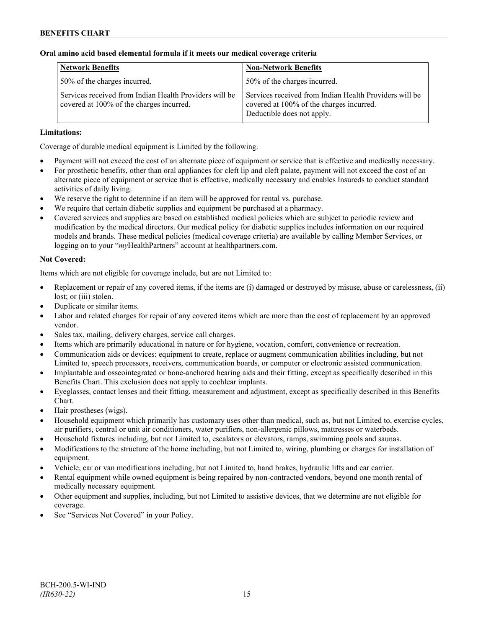### **Oral amino acid based elemental formula if it meets our medical coverage criteria**

| <b>Network Benefits</b>                                                                            | <b>Non-Network Benefits</b>                                                                                                      |
|----------------------------------------------------------------------------------------------------|----------------------------------------------------------------------------------------------------------------------------------|
| 50% of the charges incurred.                                                                       | 50% of the charges incurred.                                                                                                     |
| Services received from Indian Health Providers will be<br>covered at 100% of the charges incurred. | Services received from Indian Health Providers will be<br>covered at 100% of the charges incurred.<br>Deductible does not apply. |

### **Limitations:**

Coverage of durable medical equipment is Limited by the following.

- Payment will not exceed the cost of an alternate piece of equipment or service that is effective and medically necessary.
- For prosthetic benefits, other than oral appliances for cleft lip and cleft palate, payment will not exceed the cost of an alternate piece of equipment or service that is effective, medically necessary and enables Insureds to conduct standard activities of daily living.
- We reserve the right to determine if an item will be approved for rental vs. purchase.
- We require that certain diabetic supplies and equipment be purchased at a pharmacy.
- Covered services and supplies are based on established medical policies which are subject to periodic review and modification by the medical directors. Our medical policy for diabetic supplies includes information on our required models and brands. These medical policies (medical coverage criteria) are available by calling Member Services, or logging on to your "*my*HealthPartners" account at [healthpartners.com.](http://www.healthpartners.com/)

### **Not Covered:**

Items which are not eligible for coverage include, but are not Limited to:

- Replacement or repair of any covered items, if the items are (i) damaged or destroyed by misuse, abuse or carelessness, (ii) lost; or (iii) stolen.
- Duplicate or similar items.
- Labor and related charges for repair of any covered items which are more than the cost of replacement by an approved vendor.
- Sales tax, mailing, delivery charges, service call charges.
- Items which are primarily educational in nature or for hygiene, vocation, comfort, convenience or recreation.
- Communication aids or devices: equipment to create, replace or augment communication abilities including, but not Limited to, speech processors, receivers, communication boards, or computer or electronic assisted communication.
- Implantable and osseointegrated or bone-anchored hearing aids and their fitting, except as specifically described in this Benefits Chart. This exclusion does not apply to cochlear implants.
- Eyeglasses, contact lenses and their fitting, measurement and adjustment, except as specifically described in this Benefits Chart.
- Hair prostheses (wigs).
- Household equipment which primarily has customary uses other than medical, such as, but not Limited to, exercise cycles, air purifiers, central or unit air conditioners, water purifiers, non-allergenic pillows, mattresses or waterbeds.
- Household fixtures including, but not Limited to, escalators or elevators, ramps, swimming pools and saunas.
- Modifications to the structure of the home including, but not Limited to, wiring, plumbing or charges for installation of equipment.
- Vehicle, car or van modifications including, but not Limited to, hand brakes, hydraulic lifts and car carrier.
- Rental equipment while owned equipment is being repaired by non-contracted vendors, beyond one month rental of medically necessary equipment.
- Other equipment and supplies, including, but not Limited to assistive devices, that we determine are not eligible for coverage.
- See "Services Not Covered" in your Policy.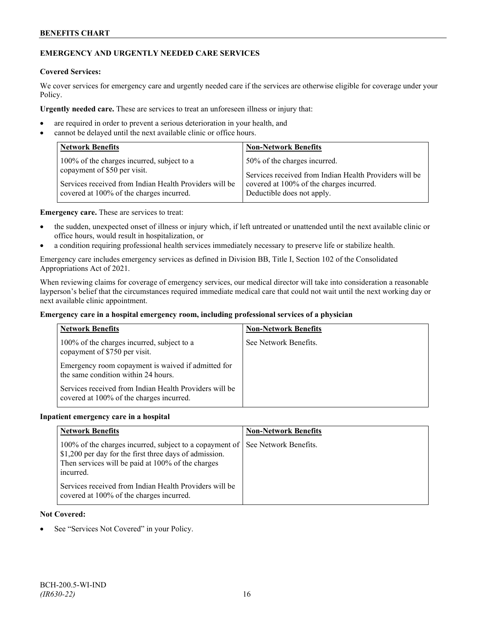### **BENEFITS CHART**

## **EMERGENCY AND URGENTLY NEEDED CARE SERVICES**

### **Covered Services:**

We cover services for emergency care and urgently needed care if the services are otherwise eligible for coverage under your Policy.

**Urgently needed care.** These are services to treat an unforeseen illness or injury that:

- are required in order to prevent a serious deterioration in your health, and
- cannot be delayed until the next available clinic or office hours.

| <b>Network Benefits</b>                                | <b>Non-Network Benefits</b>                            |
|--------------------------------------------------------|--------------------------------------------------------|
| 100% of the charges incurred, subject to a             | 50% of the charges incurred.                           |
| copayment of \$50 per visit.                           | Services received from Indian Health Providers will be |
| Services received from Indian Health Providers will be | covered at 100% of the charges incurred.               |
| covered at 100% of the charges incurred.               | Deductible does not apply.                             |

**Emergency care.** These are services to treat:

- the sudden, unexpected onset of illness or injury which, if left untreated or unattended until the next available clinic or office hours, would result in hospitalization, or
- a condition requiring professional health services immediately necessary to preserve life or stabilize health.

Emergency care includes emergency services as defined in Division BB, Title I, Section 102 of the Consolidated Appropriations Act of 2021.

When reviewing claims for coverage of emergency services, our medical director will take into consideration a reasonable layperson's belief that the circumstances required immediate medical care that could not wait until the next working day or next available clinic appointment.

#### **Emergency care in a hospital emergency room, including professional services of a physician**

| <b>Network Benefits</b>                                                                            | <b>Non-Network Benefits</b> |
|----------------------------------------------------------------------------------------------------|-----------------------------|
| 100% of the charges incurred, subject to a<br>copayment of \$750 per visit.                        | See Network Benefits.       |
| Emergency room copayment is waived if admitted for<br>the same condition within 24 hours.          |                             |
| Services received from Indian Health Providers will be<br>covered at 100% of the charges incurred. |                             |

#### **Inpatient emergency care in a hospital**

| <b>Network Benefits</b>                                                                                                                                                             | <b>Non-Network Benefits</b> |
|-------------------------------------------------------------------------------------------------------------------------------------------------------------------------------------|-----------------------------|
| 100% of the charges incurred, subject to a copayment of<br>\$1,200 per day for the first three days of admission.<br>Then services will be paid at 100% of the charges<br>incurred. | See Network Benefits.       |
| Services received from Indian Health Providers will be<br>covered at 100% of the charges incurred.                                                                                  |                             |

#### **Not Covered:**

See "Services Not Covered" in your Policy.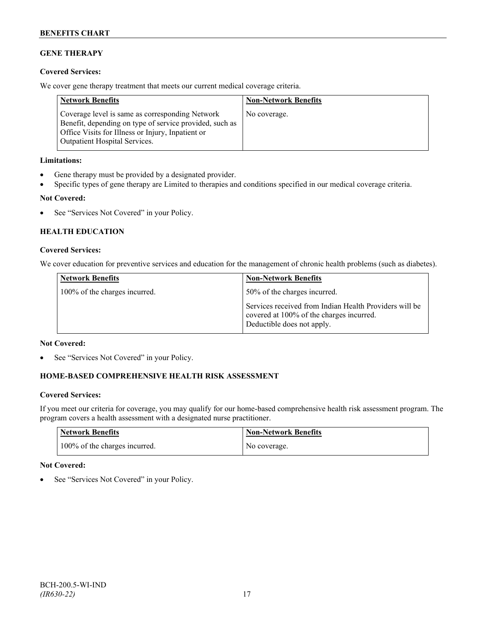## **GENE THERAPY**

### **Covered Services:**

We cover gene therapy treatment that meets our current medical coverage criteria.

| <b>Network Benefits</b>                                                                                                                                                                                 | <b>Non-Network Benefits</b> |
|---------------------------------------------------------------------------------------------------------------------------------------------------------------------------------------------------------|-----------------------------|
| Coverage level is same as corresponding Network<br>Benefit, depending on type of service provided, such as<br>Office Visits for Illness or Injury, Inpatient or<br><b>Outpatient Hospital Services.</b> | No coverage.                |

### **Limitations:**

- Gene therapy must be provided by a designated provider.
- Specific types of gene therapy are Limited to therapies and conditions specified in our medical coverage criteria.

### **Not Covered:**

• See "Services Not Covered" in your Policy.

## **HEALTH EDUCATION**

#### **Covered Services:**

We cover education for preventive services and education for the management of chronic health problems (such as diabetes).

| <b>Network Benefits</b>       | <b>Non-Network Benefits</b>                                                                                                      |
|-------------------------------|----------------------------------------------------------------------------------------------------------------------------------|
| 100% of the charges incurred. | 50% of the charges incurred.                                                                                                     |
|                               | Services received from Indian Health Providers will be<br>covered at 100% of the charges incurred.<br>Deductible does not apply. |

### **Not Covered:**

See "Services Not Covered" in your Policy.

## **HOME-BASED COMPREHENSIVE HEALTH RISK ASSESSMENT**

### **Covered Services:**

If you meet our criteria for coverage, you may qualify for our home-based comprehensive health risk assessment program. The program covers a health assessment with a designated nurse practitioner.

| <b>Network Benefits</b>       | <b>Non-Network Benefits</b> |
|-------------------------------|-----------------------------|
| 100% of the charges incurred. | No coverage.                |

### **Not Covered:**

See "Services Not Covered" in your Policy.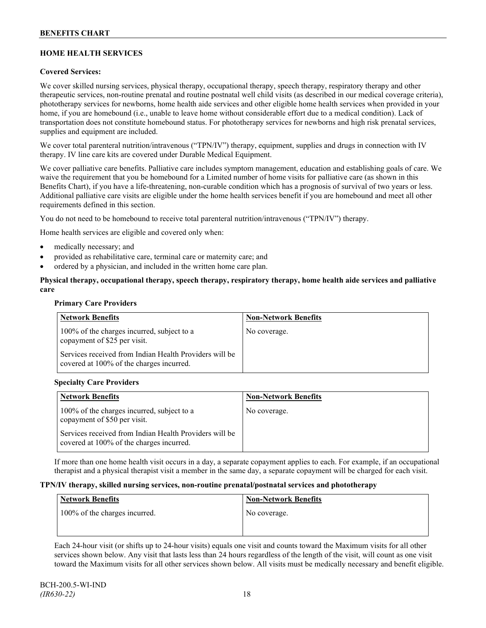## **HOME HEALTH SERVICES**

#### **Covered Services:**

We cover skilled nursing services, physical therapy, occupational therapy, speech therapy, respiratory therapy and other therapeutic services, non-routine prenatal and routine postnatal well child visits (as described in our medical coverage criteria), phototherapy services for newborns, home health aide services and other eligible home health services when provided in your home, if you are homebound (i.e., unable to leave home without considerable effort due to a medical condition). Lack of transportation does not constitute homebound status. For phototherapy services for newborns and high risk prenatal services, supplies and equipment are included.

We cover total parenteral nutrition/intravenous ("TPN/IV") therapy, equipment, supplies and drugs in connection with IV therapy. IV line care kits are covered under Durable Medical Equipment.

We cover palliative care benefits. Palliative care includes symptom management, education and establishing goals of care. We waive the requirement that you be homebound for a Limited number of home visits for palliative care (as shown in this Benefits Chart), if you have a life-threatening, non-curable condition which has a prognosis of survival of two years or less. Additional palliative care visits are eligible under the home health services benefit if you are homebound and meet all other requirements defined in this section.

You do not need to be homebound to receive total parenteral nutrition/intravenous ("TPN/IV") therapy.

Home health services are eligible and covered only when:

- medically necessary; and
- provided as rehabilitative care, terminal care or maternity care; and
- ordered by a physician, and included in the written home care plan.

### **Physical therapy, occupational therapy, speech therapy, respiratory therapy, home health aide services and palliative care**

#### **Primary Care Providers**

| <b>Network Benefits</b>                                                                            | <b>Non-Network Benefits</b> |
|----------------------------------------------------------------------------------------------------|-----------------------------|
| 100% of the charges incurred, subject to a<br>copayment of \$25 per visit.                         | No coverage.                |
| Services received from Indian Health Providers will be<br>covered at 100% of the charges incurred. |                             |

### **Specialty Care Providers**

| <b>Network Benefits</b>                                                                            | <b>Non-Network Benefits</b> |
|----------------------------------------------------------------------------------------------------|-----------------------------|
| 100% of the charges incurred, subject to a<br>copayment of \$50 per visit.                         | No coverage.                |
| Services received from Indian Health Providers will be<br>covered at 100% of the charges incurred. |                             |

If more than one home health visit occurs in a day, a separate copayment applies to each. For example, if an occupational therapist and a physical therapist visit a member in the same day, a separate copayment will be charged for each visit.

#### **TPN/IV therapy, skilled nursing services, non-routine prenatal/postnatal services and phototherapy**

| Network Benefits              | <b>Non-Network Benefits</b> |
|-------------------------------|-----------------------------|
| 100% of the charges incurred. | No coverage.                |
|                               |                             |

Each 24-hour visit (or shifts up to 24-hour visits) equals one visit and counts toward the Maximum visits for all other services shown below. Any visit that lasts less than 24 hours regardless of the length of the visit, will count as one visit toward the Maximum visits for all other services shown below. All visits must be medically necessary and benefit eligible.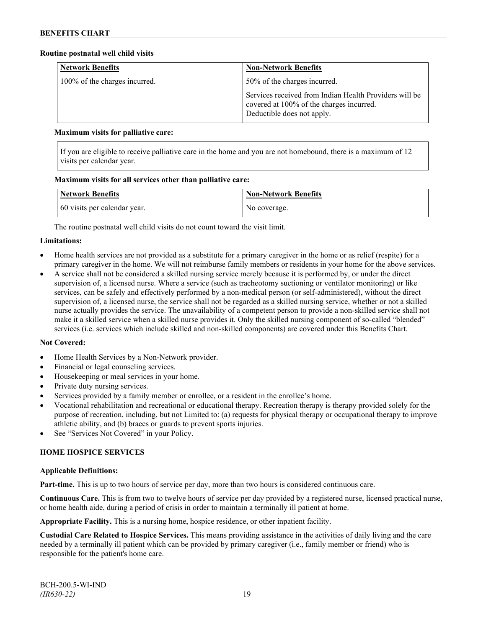#### **Routine postnatal well child visits**

| <b>Network Benefits</b>       | <b>Non-Network Benefits</b>                                                                                                      |
|-------------------------------|----------------------------------------------------------------------------------------------------------------------------------|
| 100% of the charges incurred. | 50% of the charges incurred.                                                                                                     |
|                               | Services received from Indian Health Providers will be<br>covered at 100% of the charges incurred.<br>Deductible does not apply. |

#### **Maximum visits for palliative care:**

If you are eligible to receive palliative care in the home and you are not homebound, there is a maximum of 12 visits per calendar year.

#### **Maximum visits for all services other than palliative care:**

| <b>Network Benefits</b>      | <b>Non-Network Benefits</b> |
|------------------------------|-----------------------------|
| 60 visits per calendar year. | No coverage.                |

The routine postnatal well child visits do not count toward the visit limit.

### **Limitations:**

- Home health services are not provided as a substitute for a primary caregiver in the home or as relief (respite) for a primary caregiver in the home. We will not reimburse family members or residents in your home for the above services.
- A service shall not be considered a skilled nursing service merely because it is performed by, or under the direct supervision of, a licensed nurse. Where a service (such as tracheotomy suctioning or ventilator monitoring) or like services, can be safely and effectively performed by a non-medical person (or self-administered), without the direct supervision of, a licensed nurse, the service shall not be regarded as a skilled nursing service, whether or not a skilled nurse actually provides the service. The unavailability of a competent person to provide a non-skilled service shall not make it a skilled service when a skilled nurse provides it. Only the skilled nursing component of so-called "blended" services (i.e. services which include skilled and non-skilled components) are covered under this Benefits Chart.

### **Not Covered:**

- Home Health Services by a Non-Network provider.
- Financial or legal counseling services.
- Housekeeping or meal services in your home.
- Private duty nursing services.
- Services provided by a family member or enrollee, or a resident in the enrollee's home.
- Vocational rehabilitation and recreational or educational therapy. Recreation therapy is therapy provided solely for the purpose of recreation, including, but not Limited to: (a) requests for physical therapy or occupational therapy to improve athletic ability, and (b) braces or guards to prevent sports injuries.
- See "Services Not Covered" in your Policy.

### **HOME HOSPICE SERVICES**

#### **Applicable Definitions:**

**Part-time.** This is up to two hours of service per day, more than two hours is considered continuous care.

**Continuous Care.** This is from two to twelve hours of service per day provided by a registered nurse, licensed practical nurse, or home health aide, during a period of crisis in order to maintain a terminally ill patient at home.

**Appropriate Facility.** This is a nursing home, hospice residence, or other inpatient facility.

**Custodial Care Related to Hospice Services.** This means providing assistance in the activities of daily living and the care needed by a terminally ill patient which can be provided by primary caregiver (i.e., family member or friend) who is responsible for the patient's home care.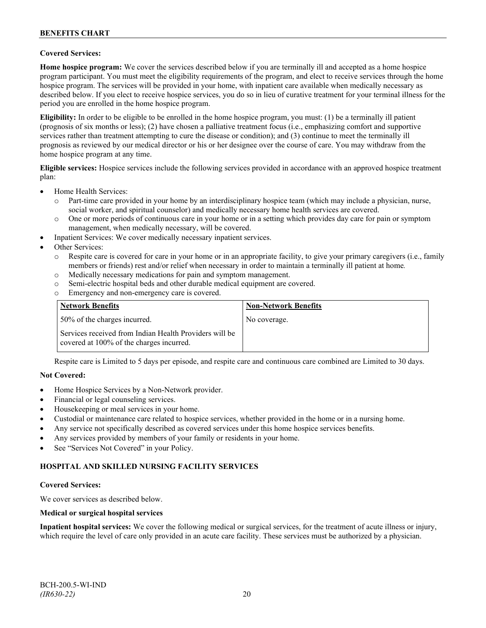### **Covered Services:**

**Home hospice program:** We cover the services described below if you are terminally ill and accepted as a home hospice program participant. You must meet the eligibility requirements of the program, and elect to receive services through the home hospice program. The services will be provided in your home, with inpatient care available when medically necessary as described below. If you elect to receive hospice services, you do so in lieu of curative treatment for your terminal illness for the period you are enrolled in the home hospice program.

**Eligibility:** In order to be eligible to be enrolled in the home hospice program, you must: (1) be a terminally ill patient (prognosis of six months or less); (2) have chosen a palliative treatment focus (i.e., emphasizing comfort and supportive services rather than treatment attempting to cure the disease or condition); and (3) continue to meet the terminally ill prognosis as reviewed by our medical director or his or her designee over the course of care. You may withdraw from the home hospice program at any time.

**Eligible services:** Hospice services include the following services provided in accordance with an approved hospice treatment plan:

- Home Health Services:
	- o Part-time care provided in your home by an interdisciplinary hospice team (which may include a physician, nurse, social worker, and spiritual counselor) and medically necessary home health services are covered.
	- o One or more periods of continuous care in your home or in a setting which provides day care for pain or symptom management, when medically necessary, will be covered.
- Inpatient Services: We cover medically necessary inpatient services.
- Other Services:
	- o Respite care is covered for care in your home or in an appropriate facility, to give your primary caregivers (i.e., family members or friends) rest and/or relief when necessary in order to maintain a terminally ill patient at home*.*
	- o Medically necessary medications for pain and symptom management.
	- o Semi-electric hospital beds and other durable medical equipment are covered.
	- o Emergency and non-emergency care is covered.

| <b>Network Benefits</b>                                                                            | <b>Non-Network Benefits</b> |
|----------------------------------------------------------------------------------------------------|-----------------------------|
| 50% of the charges incurred.                                                                       | No coverage.                |
| Services received from Indian Health Providers will be<br>covered at 100% of the charges incurred. |                             |

Respite care is Limited to 5 days per episode, and respite care and continuous care combined are Limited to 30 days.

### **Not Covered:**

- Home Hospice Services by a Non-Network provider.
- Financial or legal counseling services.
- Housekeeping or meal services in your home.
- Custodial or maintenance care related to hospice services, whether provided in the home or in a nursing home.
- Any service not specifically described as covered services under this home hospice services benefits.
- Any services provided by members of your family or residents in your home.
- See "Services Not Covered" in your Policy.

## **HOSPITAL AND SKILLED NURSING FACILITY SERVICES**

#### **Covered Services:**

We cover services as described below.

#### **Medical or surgical hospital services**

**Inpatient hospital services:** We cover the following medical or surgical services, for the treatment of acute illness or injury, which require the level of care only provided in an acute care facility. These services must be authorized by a physician.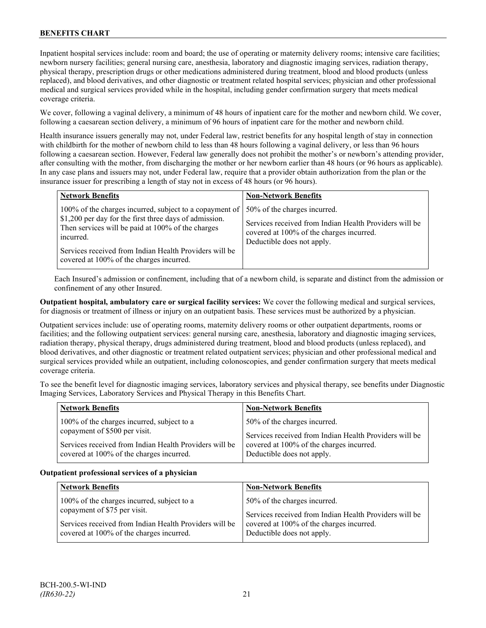## **BENEFITS CHART**

Inpatient hospital services include: room and board; the use of operating or maternity delivery rooms; intensive care facilities; newborn nursery facilities; general nursing care, anesthesia, laboratory and diagnostic imaging services, radiation therapy, physical therapy, prescription drugs or other medications administered during treatment, blood and blood products (unless replaced), and blood derivatives, and other diagnostic or treatment related hospital services; physician and other professional medical and surgical services provided while in the hospital, including gender confirmation surgery that meets medical coverage criteria.

We cover, following a vaginal delivery, a minimum of 48 hours of inpatient care for the mother and newborn child. We cover, following a caesarean section delivery, a minimum of 96 hours of inpatient care for the mother and newborn child.

Health insurance issuers generally may not, under Federal law, restrict benefits for any hospital length of stay in connection with childbirth for the mother of newborn child to less than 48 hours following a vaginal delivery, or less than 96 hours following a caesarean section. However, Federal law generally does not prohibit the mother's or newborn's attending provider, after consulting with the mother, from discharging the mother or her newborn earlier than 48 hours (or 96 hours as applicable). In any case plans and issuers may not, under Federal law, require that a provider obtain authorization from the plan or the insurance issuer for prescribing a length of stay not in excess of 48 hours (or 96 hours).

| <b>Network Benefits</b>                                                                                                                                                                                                                                                                   | <b>Non-Network Benefits</b>                                                                                                                                      |
|-------------------------------------------------------------------------------------------------------------------------------------------------------------------------------------------------------------------------------------------------------------------------------------------|------------------------------------------------------------------------------------------------------------------------------------------------------------------|
| 100% of the charges incurred, subject to a copayment of<br>\$1,200 per day for the first three days of admission.<br>Then services will be paid at 100% of the charges<br>incurred.<br>Services received from Indian Health Providers will be<br>covered at 100% of the charges incurred. | 50% of the charges incurred.<br>Services received from Indian Health Providers will be<br>covered at 100% of the charges incurred.<br>Deductible does not apply. |

Each Insured's admission or confinement, including that of a newborn child, is separate and distinct from the admission or confinement of any other Insured.

**Outpatient hospital, ambulatory care or surgical facility services:** We cover the following medical and surgical services, for diagnosis or treatment of illness or injury on an outpatient basis. These services must be authorized by a physician.

Outpatient services include: use of operating rooms, maternity delivery rooms or other outpatient departments, rooms or facilities; and the following outpatient services: general nursing care, anesthesia, laboratory and diagnostic imaging services, radiation therapy, physical therapy, drugs administered during treatment, blood and blood products (unless replaced), and blood derivatives, and other diagnostic or treatment related outpatient services; physician and other professional medical and surgical services provided while an outpatient, including colonoscopies, and gender confirmation surgery that meets medical coverage criteria.

To see the benefit level for diagnostic imaging services, laboratory services and physical therapy, see benefits under Diagnostic Imaging Services, Laboratory Services and Physical Therapy in this Benefits Chart.

| <b>Network Benefits</b>                                                                 | <b>Non-Network Benefits</b>                                                                        |
|-----------------------------------------------------------------------------------------|----------------------------------------------------------------------------------------------------|
| 100% of the charges incurred, subject to a                                              | 50% of the charges incurred.                                                                       |
| copayment of \$500 per visit.<br>Services received from Indian Health Providers will be | Services received from Indian Health Providers will be<br>covered at 100% of the charges incurred. |
| covered at 100% of the charges incurred.                                                | Deductible does not apply.                                                                         |

### **Outpatient professional services of a physician**

| <b>Network Benefits</b>                                | <b>Non-Network Benefits</b>                            |
|--------------------------------------------------------|--------------------------------------------------------|
| 100% of the charges incurred, subject to a             | 50% of the charges incurred.                           |
| copayment of \$75 per visit.                           | Services received from Indian Health Providers will be |
| Services received from Indian Health Providers will be | covered at 100% of the charges incurred.               |
| covered at 100% of the charges incurred.               | Deductible does not apply.                             |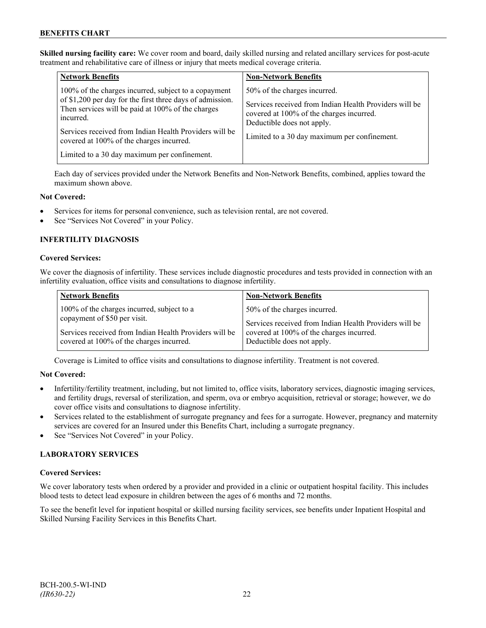**Skilled nursing facility care:** We cover room and board, daily skilled nursing and related ancillary services for post-acute treatment and rehabilitative care of illness or injury that meets medical coverage criteria.

| <b>Network Benefits</b>                                                                                                     | <b>Non-Network Benefits</b>                                                                                                      |
|-----------------------------------------------------------------------------------------------------------------------------|----------------------------------------------------------------------------------------------------------------------------------|
| 100% of the charges incurred, subject to a copayment                                                                        | 50% of the charges incurred.                                                                                                     |
| of \$1,200 per day for the first three days of admission.<br>Then services will be paid at 100% of the charges<br>incurred. | Services received from Indian Health Providers will be<br>covered at 100% of the charges incurred.<br>Deductible does not apply. |
| Services received from Indian Health Providers will be<br>covered at 100% of the charges incurred.                          | Limited to a 30 day maximum per confinement.                                                                                     |
| Limited to a 30 day maximum per confinement.                                                                                |                                                                                                                                  |

Each day of services provided under the Network Benefits and Non-Network Benefits, combined, applies toward the maximum shown above.

#### **Not Covered:**

- Services for items for personal convenience, such as television rental, are not covered.
- See "Services Not Covered" in your Policy.

### **INFERTILITY DIAGNOSIS**

#### **Covered Services:**

We cover the diagnosis of infertility. These services include diagnostic procedures and tests provided in connection with an infertility evaluation, office visits and consultations to diagnose infertility.

| <b>Network Benefits</b>                                | <b>Non-Network Benefits</b>                            |
|--------------------------------------------------------|--------------------------------------------------------|
| 100% of the charges incurred, subject to a             | 50% of the charges incurred.                           |
| copayment of \$50 per visit.                           | Services received from Indian Health Providers will be |
| Services received from Indian Health Providers will be | covered at 100% of the charges incurred.               |
| covered at 100% of the charges incurred.               | Deductible does not apply.                             |

Coverage is Limited to office visits and consultations to diagnose infertility. Treatment is not covered.

### **Not Covered:**

- Infertility/fertility treatment, including, but not limited to, office visits, laboratory services, diagnostic imaging services, and fertility drugs, reversal of sterilization, and sperm, ova or embryo acquisition, retrieval or storage; however, we do cover office visits and consultations to diagnose infertility.
- Services related to the establishment of surrogate pregnancy and fees for a surrogate. However, pregnancy and maternity services are covered for an Insured under this Benefits Chart, including a surrogate pregnancy.
- See "Services Not Covered" in your Policy.

### **LABORATORY SERVICES**

### **Covered Services:**

We cover laboratory tests when ordered by a provider and provided in a clinic or outpatient hospital facility. This includes blood tests to detect lead exposure in children between the ages of 6 months and 72 months.

To see the benefit level for inpatient hospital or skilled nursing facility services, see benefits under Inpatient Hospital and Skilled Nursing Facility Services in this Benefits Chart.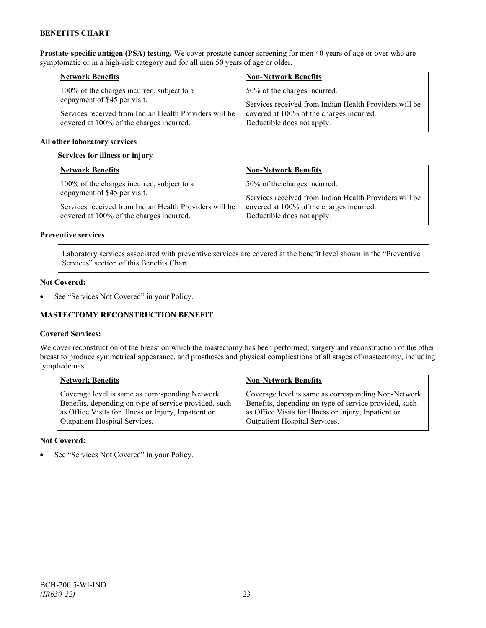**Prostate-specific antigen (PSA) testing.** We cover prostate cancer screening for men 40 years of age or over who are symptomatic or in a high-risk category and for all men 50 years of age or older.

| <b>Network Benefits</b>                                                                            | <b>Non-Network Benefits</b>                                            |
|----------------------------------------------------------------------------------------------------|------------------------------------------------------------------------|
| 100% of the charges incurred, subject to a                                                         | 50% of the charges incurred.                                           |
| copayment of \$45 per visit.                                                                       | Services received from Indian Health Providers will be                 |
| Services received from Indian Health Providers will be<br>covered at 100% of the charges incurred. | covered at 100% of the charges incurred.<br>Deductible does not apply. |

### **All other laboratory services**

#### **Services for illness or injury**

| <b>Network Benefits</b>                                | <b>Non-Network Benefits</b>                            |
|--------------------------------------------------------|--------------------------------------------------------|
| 100% of the charges incurred, subject to a             | 50% of the charges incurred.                           |
| copayment of \$45 per visit.                           | Services received from Indian Health Providers will be |
| Services received from Indian Health Providers will be | covered at 100% of the charges incurred.               |
| covered at 100% of the charges incurred.               | Deductible does not apply.                             |

#### **Preventive services**

Laboratory services associated with preventive services are covered at the benefit level shown in the "Preventive Services" section of this Benefits Chart.

#### **Not Covered:**

• See "Services Not Covered" in your Policy.

### **MASTECTOMY RECONSTRUCTION BENEFIT**

### **Covered Services:**

We cover reconstruction of the breast on which the mastectomy has been performed; surgery and reconstruction of the other breast to produce symmetrical appearance, and prostheses and physical complications of all stages of mastectomy, including lymphedemas.

| <b>Network Benefits</b>                               | <b>Non-Network Benefits</b>                           |
|-------------------------------------------------------|-------------------------------------------------------|
| Coverage level is same as corresponding Network       | Coverage level is same as corresponding Non-Network   |
| Benefits, depending on type of service provided, such | Benefits, depending on type of service provided, such |
| as Office Visits for Illness or Injury, Inpatient or  | as Office Visits for Illness or Injury, Inpatient or  |
| Outpatient Hospital Services.                         | Outpatient Hospital Services.                         |

#### **Not Covered:**

See "Services Not Covered" in your Policy.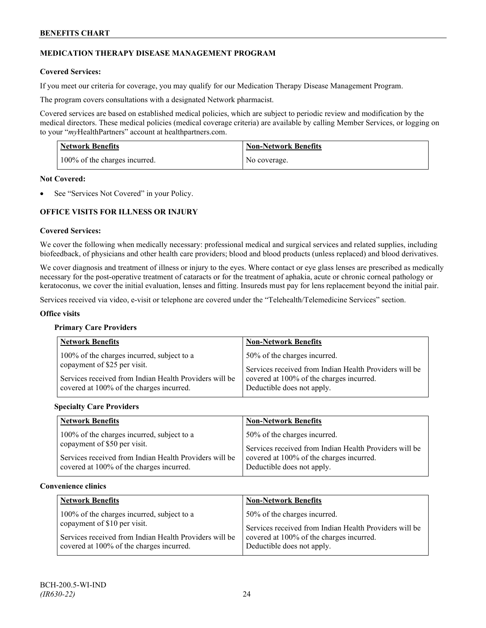### **MEDICATION THERAPY DISEASE MANAGEMENT PROGRAM**

### **Covered Services:**

If you meet our criteria for coverage, you may qualify for our Medication Therapy Disease Management Program.

The program covers consultations with a designated Network pharmacist.

Covered services are based on established medical policies, which are subject to periodic review and modification by the medical directors. These medical policies (medical coverage criteria) are available by calling Member Services, or logging on to your "*my*HealthPartners" account at [healthpartners.com.](http://www.healthpartners.com/)

| <b>Network Benefits</b>       | <b>Non-Network Benefits</b> |
|-------------------------------|-----------------------------|
| 100% of the charges incurred. | No coverage.                |

#### **Not Covered:**

See "Services Not Covered" in your Policy.

## **OFFICE VISITS FOR ILLNESS OR INJURY**

#### **Covered Services:**

We cover the following when medically necessary: professional medical and surgical services and related supplies, including biofeedback, of physicians and other health care providers; blood and blood products (unless replaced) and blood derivatives.

We cover diagnosis and treatment of illness or injury to the eyes. Where contact or eye glass lenses are prescribed as medically necessary for the post-operative treatment of cataracts or for the treatment of aphakia, acute or chronic corneal pathology or keratoconus, we cover the initial evaluation, lenses and fitting. Insureds must pay for lens replacement beyond the initial pair.

Services received via video, e-visit or telephone are covered under the "Telehealth/Telemedicine Services" section.

#### **Office visits**

#### **Primary Care Providers**

| <b>Network Benefits</b>                                                                                                              | <b>Non-Network Benefits</b>                                                                                                        |
|--------------------------------------------------------------------------------------------------------------------------------------|------------------------------------------------------------------------------------------------------------------------------------|
| 100% of the charges incurred, subject to a<br>copayment of \$25 per visit.<br>Services received from Indian Health Providers will be | 50% of the charges incurred.<br>Services received from Indian Health Providers will be<br>covered at 100% of the charges incurred. |
| covered at 100% of the charges incurred.                                                                                             | Deductible does not apply.                                                                                                         |

#### **Specialty Care Providers**

| <b>Network Benefits</b>                                                                            | <b>Non-Network Benefits</b>                                                                                                      |
|----------------------------------------------------------------------------------------------------|----------------------------------------------------------------------------------------------------------------------------------|
| 100% of the charges incurred, subject to a<br>copayment of \$50 per visit.                         | 50% of the charges incurred.                                                                                                     |
| Services received from Indian Health Providers will be<br>covered at 100% of the charges incurred. | Services received from Indian Health Providers will be<br>covered at 100% of the charges incurred.<br>Deductible does not apply. |

#### **Convenience clinics**

| <b>Network Benefits</b>                                | <b>Non-Network Benefits</b>                            |
|--------------------------------------------------------|--------------------------------------------------------|
| 100% of the charges incurred, subject to a             | 50% of the charges incurred.                           |
| copayment of \$10 per visit.                           | Services received from Indian Health Providers will be |
| Services received from Indian Health Providers will be | covered at 100% of the charges incurred.               |
| covered at 100% of the charges incurred.               | Deductible does not apply.                             |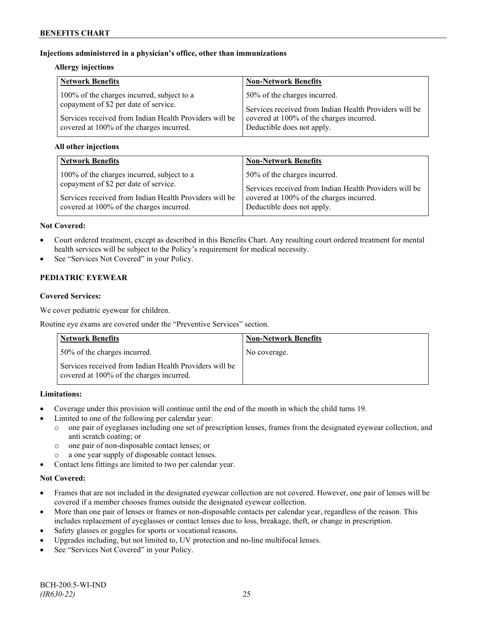### **Injections administered in a physician's office, other than immunizations**

### **Allergy injections**

| <b>Network Benefits</b>                                | <b>Non-Network Benefits</b>                            |
|--------------------------------------------------------|--------------------------------------------------------|
| 100% of the charges incurred, subject to a             | 50% of the charges incurred.                           |
| copayment of \$2 per date of service.                  | Services received from Indian Health Providers will be |
| Services received from Indian Health Providers will be | covered at 100% of the charges incurred.               |
| covered at 100% of the charges incurred.               | Deductible does not apply.                             |

### **All other injections**

| <b>Network Benefits</b>                                | <b>Non-Network Benefits</b>                            |
|--------------------------------------------------------|--------------------------------------------------------|
| 100% of the charges incurred, subject to a             | 50% of the charges incurred.                           |
| copayment of \$2 per date of service.                  | Services received from Indian Health Providers will be |
| Services received from Indian Health Providers will be | covered at 100% of the charges incurred.               |
| covered at 100% of the charges incurred.               | Deductible does not apply.                             |

### **Not Covered:**

- Court ordered treatment, except as described in this Benefits Chart. Any resulting court ordered treatment for mental health services will be subject to the Policy's requirement for medical necessity.
- See "Services Not Covered" in your Policy.

## **PEDIATRIC EYEWEAR**

### **Covered Services:**

We cover pediatric eyewear for children.

Routine eye exams are covered under the "Preventive Services" section.

| <b>Network Benefits</b>                                                                            | <b>Non-Network Benefits</b> |
|----------------------------------------------------------------------------------------------------|-----------------------------|
| 50% of the charges incurred.                                                                       | No coverage.                |
| Services received from Indian Health Providers will be<br>covered at 100% of the charges incurred. |                             |

### **Limitations:**

- Coverage under this provision will continue until the end of the month in which the child turns 19.
- Limited to one of the following per calendar year:
	- o one pair of eyeglasses including one set of prescription lenses, frames from the designated eyewear collection, and anti scratch coating; or
	- o one pair of non-disposable contact lenses; or
	- a one year supply of disposable contact lenses.
- Contact lens fittings are limited to two per calendar year.

## **Not Covered:**

- Frames that are not included in the designated eyewear collection are not covered. However, one pair of lenses will be covered if a member chooses frames outside the designated eyewear collection.
- More than one pair of lenses or frames or non-disposable contacts per calendar year, regardless of the reason. This includes replacement of eyeglasses or contact lenses due to loss, breakage, theft, or change in prescription.
- Safety glasses or goggles for sports or vocational reasons.
- Upgrades including, but not limited to, UV protection and no-line multifocal lenses.
- See "Services Not Covered" in your Policy.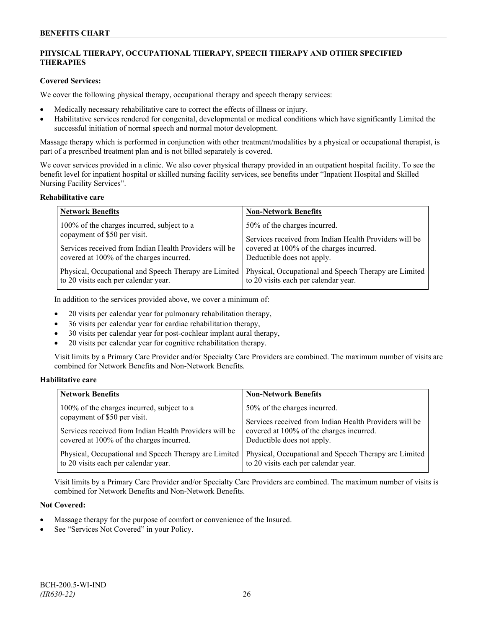## **PHYSICAL THERAPY, OCCUPATIONAL THERAPY, SPEECH THERAPY AND OTHER SPECIFIED THERAPIES**

### **Covered Services:**

We cover the following physical therapy, occupational therapy and speech therapy services:

- Medically necessary rehabilitative care to correct the effects of illness or injury.
- Habilitative services rendered for congenital, developmental or medical conditions which have significantly Limited the successful initiation of normal speech and normal motor development.

Massage therapy which is performed in conjunction with other treatment/modalities by a physical or occupational therapist, is part of a prescribed treatment plan and is not billed separately is covered.

We cover services provided in a clinic. We also cover physical therapy provided in an outpatient hospital facility. To see the benefit level for inpatient hospital or skilled nursing facility services, see benefits under "Inpatient Hospital and Skilled Nursing Facility Services".

#### **Rehabilitative care**

| <b>Network Benefits</b>                                | <b>Non-Network Benefits</b>                            |
|--------------------------------------------------------|--------------------------------------------------------|
| 100% of the charges incurred, subject to a             | 50% of the charges incurred.                           |
| copayment of \$50 per visit.                           | Services received from Indian Health Providers will be |
| Services received from Indian Health Providers will be | covered at 100% of the charges incurred.               |
| covered at 100% of the charges incurred.               | Deductible does not apply.                             |
| Physical, Occupational and Speech Therapy are Limited  | Physical, Occupational and Speech Therapy are Limited  |
| to 20 visits each per calendar year.                   | to 20 visits each per calendar year.                   |

In addition to the services provided above, we cover a minimum of:

- 20 visits per calendar year for pulmonary rehabilitation therapy,
- 36 visits per calendar year for cardiac rehabilitation therapy,
- 30 visits per calendar year for post-cochlear implant aural therapy,
- 20 visits per calendar year for cognitive rehabilitation therapy.

Visit limits by a Primary Care Provider and/or Specialty Care Providers are combined. The maximum number of visits are combined for Network Benefits and Non-Network Benefits.

### **Habilitative care**

| <b>Network Benefits</b>                                | <b>Non-Network Benefits</b>                            |
|--------------------------------------------------------|--------------------------------------------------------|
| 100% of the charges incurred, subject to a             | 50% of the charges incurred.                           |
| copayment of \$50 per visit.                           | Services received from Indian Health Providers will be |
| Services received from Indian Health Providers will be | covered at 100% of the charges incurred.               |
| covered at 100% of the charges incurred.               | Deductible does not apply.                             |
| Physical, Occupational and Speech Therapy are Limited  | Physical, Occupational and Speech Therapy are Limited  |
| to 20 visits each per calendar year.                   | to 20 visits each per calendar year.                   |

Visit limits by a Primary Care Provider and/or Specialty Care Providers are combined. The maximum number of visits is combined for Network Benefits and Non-Network Benefits.

### **Not Covered:**

- Massage therapy for the purpose of comfort or convenience of the Insured.
- See "Services Not Covered" in your Policy.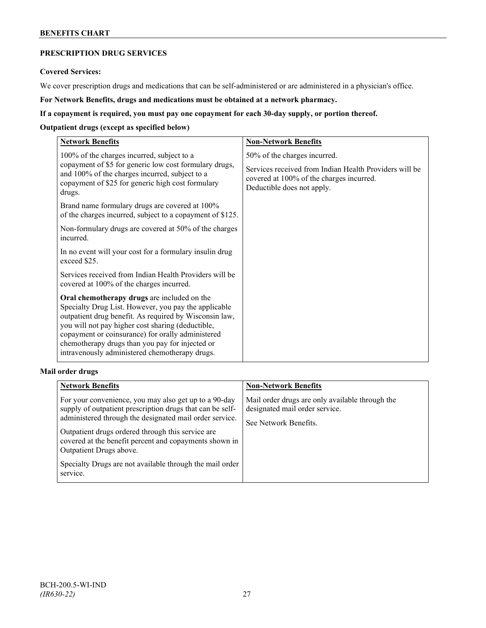## **BENEFITS CHART**

## **PRESCRIPTION DRUG SERVICES**

#### **Covered Services:**

We cover prescription drugs and medications that can be self-administered or are administered in a physician's office.

**For Network Benefits, drugs and medications must be obtained at a network pharmacy.**

### **If a copayment is required, you must pay one copayment for each 30-day supply, or portion thereof.**

### **Outpatient drugs (except as specified below)**

| <b>Network Benefits</b>                                                                                                                                                                                                                                                                                                                                                      | <b>Non-Network Benefits</b>                                                                                                                                      |
|------------------------------------------------------------------------------------------------------------------------------------------------------------------------------------------------------------------------------------------------------------------------------------------------------------------------------------------------------------------------------|------------------------------------------------------------------------------------------------------------------------------------------------------------------|
| 100% of the charges incurred, subject to a<br>copayment of \$5 for generic low cost formulary drugs,<br>and 100% of the charges incurred, subject to a<br>copayment of \$25 for generic high cost formulary<br>drugs.                                                                                                                                                        | 50% of the charges incurred.<br>Services received from Indian Health Providers will be<br>covered at 100% of the charges incurred.<br>Deductible does not apply. |
| Brand name formulary drugs are covered at 100%<br>of the charges incurred, subject to a copayment of \$125.                                                                                                                                                                                                                                                                  |                                                                                                                                                                  |
| Non-formulary drugs are covered at 50% of the charges<br>incurred.                                                                                                                                                                                                                                                                                                           |                                                                                                                                                                  |
| In no event will your cost for a formulary insulin drug<br>exceed \$25.                                                                                                                                                                                                                                                                                                      |                                                                                                                                                                  |
| Services received from Indian Health Providers will be<br>covered at 100% of the charges incurred.                                                                                                                                                                                                                                                                           |                                                                                                                                                                  |
| Oral chemotherapy drugs are included on the<br>Specialty Drug List. However, you pay the applicable<br>outpatient drug benefit. As required by Wisconsin law,<br>you will not pay higher cost sharing (deductible,<br>copayment or coinsurance) for orally administered<br>chemotherapy drugs than you pay for injected or<br>intravenously administered chemotherapy drugs. |                                                                                                                                                                  |

### **Mail order drugs**

| <b>Network Benefits</b>                                                                                                                                                                                                                                                                                                                                                                         | <b>Non-Network Benefits</b>                                                                                |
|-------------------------------------------------------------------------------------------------------------------------------------------------------------------------------------------------------------------------------------------------------------------------------------------------------------------------------------------------------------------------------------------------|------------------------------------------------------------------------------------------------------------|
| For your convenience, you may also get up to a 90-day<br>supply of outpatient prescription drugs that can be self-<br>administered through the designated mail order service.<br>Outpatient drugs ordered through this service are<br>covered at the benefit percent and copayments shown in<br>Outpatient Drugs above.<br>Specialty Drugs are not available through the mail order<br>service. | Mail order drugs are only available through the<br>designated mail order service.<br>See Network Benefits. |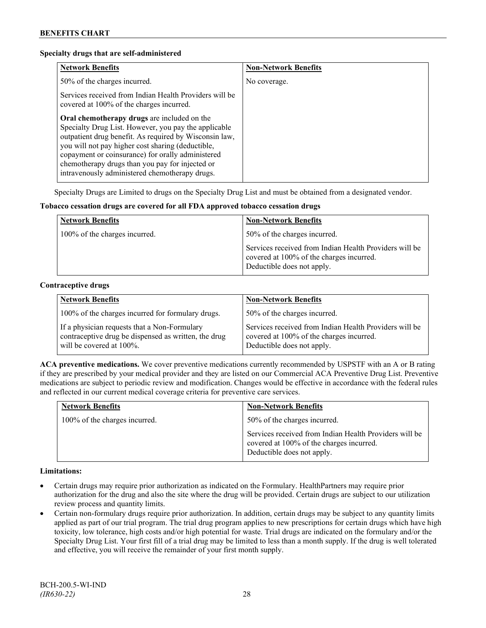#### **Specialty drugs that are self-administered**

| <b>Network Benefits</b>                                                                                                                                                                                                                                                                                                                                                      | <b>Non-Network Benefits</b> |
|------------------------------------------------------------------------------------------------------------------------------------------------------------------------------------------------------------------------------------------------------------------------------------------------------------------------------------------------------------------------------|-----------------------------|
| 50% of the charges incurred.                                                                                                                                                                                                                                                                                                                                                 | No coverage.                |
| Services received from Indian Health Providers will be<br>covered at 100% of the charges incurred.                                                                                                                                                                                                                                                                           |                             |
| Oral chemotherapy drugs are included on the<br>Specialty Drug List. However, you pay the applicable<br>outpatient drug benefit. As required by Wisconsin law,<br>you will not pay higher cost sharing (deductible,<br>copayment or coinsurance) for orally administered<br>chemotherapy drugs than you pay for injected or<br>intravenously administered chemotherapy drugs. |                             |

Specialty Drugs are Limited to drugs on the Specialty Drug List and must be obtained from a designated vendor.

#### **Tobacco cessation drugs are covered for all FDA approved tobacco cessation drugs**

| <b>Network Benefits</b>       | <b>Non-Network Benefits</b>                                                                                                      |
|-------------------------------|----------------------------------------------------------------------------------------------------------------------------------|
| 100% of the charges incurred. | 50% of the charges incurred.                                                                                                     |
|                               | Services received from Indian Health Providers will be<br>covered at 100% of the charges incurred.<br>Deductible does not apply. |

#### **Contraceptive drugs**

| <b>Network Benefits</b>                                                                                                          | <b>Non-Network Benefits</b>                                                                                                      |
|----------------------------------------------------------------------------------------------------------------------------------|----------------------------------------------------------------------------------------------------------------------------------|
| 100% of the charges incurred for formulary drugs.                                                                                | 50% of the charges incurred.                                                                                                     |
| If a physician requests that a Non-Formulary<br>contraceptive drug be dispensed as written, the drug<br>will be covered at 100%. | Services received from Indian Health Providers will be<br>covered at 100% of the charges incurred.<br>Deductible does not apply. |

**ACA preventive medications.** We cover preventive medications currently recommended by USPSTF with an A or B rating if they are prescribed by your medical provider and they are listed on our Commercial ACA Preventive Drug List. Preventive medications are subject to periodic review and modification. Changes would be effective in accordance with the federal rules and reflected in our current medical coverage criteria for preventive care services.

| <b>Network Benefits</b>       | <b>Non-Network Benefits</b>                                                                                                      |
|-------------------------------|----------------------------------------------------------------------------------------------------------------------------------|
| 100% of the charges incurred. | 50% of the charges incurred.                                                                                                     |
|                               | Services received from Indian Health Providers will be<br>covered at 100% of the charges incurred.<br>Deductible does not apply. |

### **Limitations:**

- Certain drugs may require prior authorization as indicated on the Formulary. HealthPartners may require prior authorization for the drug and also the site where the drug will be provided. Certain drugs are subject to our utilization review process and quantity limits.
- Certain non-formulary drugs require prior authorization. In addition, certain drugs may be subject to any quantity limits applied as part of our trial program. The trial drug program applies to new prescriptions for certain drugs which have high toxicity, low tolerance, high costs and/or high potential for waste. Trial drugs are indicated on the formulary and/or the Specialty Drug List. Your first fill of a trial drug may be limited to less than a month supply. If the drug is well tolerated and effective, you will receive the remainder of your first month supply.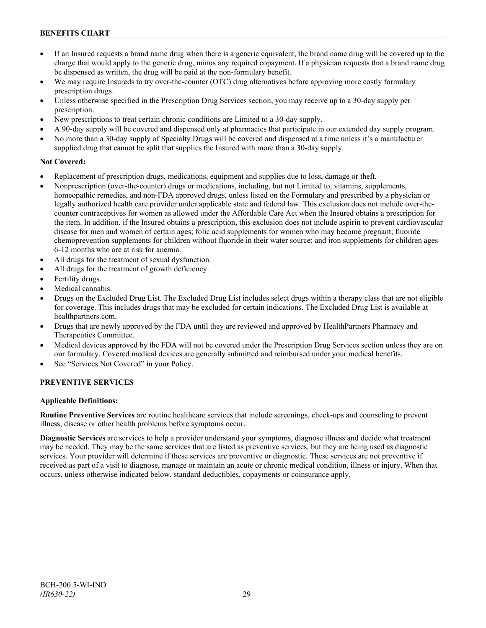## **BENEFITS CHART**

- If an Insured requests a brand name drug when there is a generic equivalent, the brand name drug will be covered up to the charge that would apply to the generic drug, minus any required copayment. If a physician requests that a brand name drug be dispensed as written, the drug will be paid at the non-formulary benefit.
- We may require Insureds to try over-the-counter (OTC) drug alternatives before approving more costly formulary prescription drugs.
- Unless otherwise specified in the Prescription Drug Services section, you may receive up to a 30-day supply per prescription.
- New prescriptions to treat certain chronic conditions are Limited to a 30-day supply.
- A 90-day supply will be covered and dispensed only at pharmacies that participate in our extended day supply program.
- No more than a 30-day supply of Specialty Drugs will be covered and dispensed at a time unless it's a manufacturer supplied drug that cannot be split that supplies the Insured with more than a 30-day supply.

### **Not Covered:**

- Replacement of prescription drugs, medications, equipment and supplies due to loss, damage or theft.
- Nonprescription (over-the-counter) drugs or medications, including, but not Limited to, vitamins, supplements, homeopathic remedies, and non-FDA approved drugs, unless listed on the Formulary and prescribed by a physician or legally authorized health care provider under applicable state and federal law. This exclusion does not include over-thecounter contraceptives for women as allowed under the Affordable Care Act when the Insured obtains a prescription for the item. In addition, if the Insured obtains a prescription, this exclusion does not include aspirin to prevent cardiovascular disease for men and women of certain ages; folic acid supplements for women who may become pregnant; fluoride chemoprevention supplements for children without fluoride in their water source; and iron supplements for children ages 6-12 months who are at risk for anemia.
- All drugs for the treatment of sexual dysfunction.
- All drugs for the treatment of growth deficiency.
- Fertility drugs.
- Medical cannabis.
- Drugs on the Excluded Drug List. The Excluded Drug List includes select drugs within a therapy class that are not eligible for coverage. This includes drugs that may be excluded for certain indications. The Excluded Drug List is available at [healthpartners.com.](http://www.healthpartners.com/)
- Drugs that are newly approved by the FDA until they are reviewed and approved by HealthPartners Pharmacy and Therapeutics Committee.
- Medical devices approved by the FDA will not be covered under the Prescription Drug Services section unless they are on our formulary. Covered medical devices are generally submitted and reimbursed under your medical benefits.
- See "Services Not Covered" in your Policy.

## **PREVENTIVE SERVICES**

### **Applicable Definitions:**

**Routine Preventive Services** are routine healthcare services that include screenings, check-ups and counseling to prevent illness, disease or other health problems before symptoms occur.

**Diagnostic Services** are services to help a provider understand your symptoms, diagnose illness and decide what treatment may be needed. They may be the same services that are listed as preventive services, but they are being used as diagnostic services. Your provider will determine if these services are preventive or diagnostic. These services are not preventive if received as part of a visit to diagnose, manage or maintain an acute or chronic medical condition, illness or injury. When that occurs, unless otherwise indicated below, standard deductibles, copayments or coinsurance apply.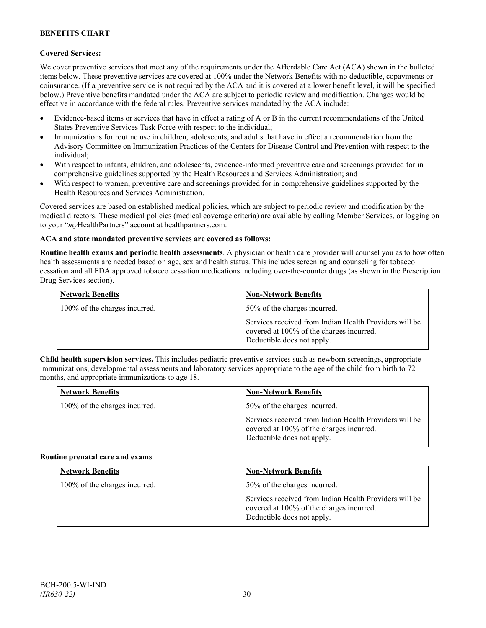### **Covered Services:**

We cover preventive services that meet any of the requirements under the Affordable Care Act (ACA) shown in the bulleted items below. These preventive services are covered at 100% under the Network Benefits with no deductible, copayments or coinsurance. (If a preventive service is not required by the ACA and it is covered at a lower benefit level, it will be specified below.) Preventive benefits mandated under the ACA are subject to periodic review and modification. Changes would be effective in accordance with the federal rules. Preventive services mandated by the ACA include:

- Evidence-based items or services that have in effect a rating of A or B in the current recommendations of the United States Preventive Services Task Force with respect to the individual;
- Immunizations for routine use in children, adolescents, and adults that have in effect a recommendation from the Advisory Committee on Immunization Practices of the Centers for Disease Control and Prevention with respect to the individual;
- With respect to infants, children, and adolescents, evidence-informed preventive care and screenings provided for in comprehensive guidelines supported by the Health Resources and Services Administration; and
- With respect to women, preventive care and screenings provided for in comprehensive guidelines supported by the Health Resources and Services Administration.

Covered services are based on established medical policies, which are subject to periodic review and modification by the medical directors. These medical policies (medical coverage criteria) are available by calling Member Services, or logging on to your "*my*HealthPartners" account at [healthpartners.com.](http://www.healthpartners.com/)

### **ACA and state mandated preventive services are covered as follows:**

**Routine health exams and periodic health assessments**. A physician or health care provider will counsel you as to how often health assessments are needed based on age, sex and health status. This includes screening and counseling for tobacco cessation and all FDA approved tobacco cessation medications including over-the-counter drugs (as shown in the Prescription Drug Services section).

| <b>Network Benefits</b>       | <b>Non-Network Benefits</b>                                                                                                      |
|-------------------------------|----------------------------------------------------------------------------------------------------------------------------------|
| 100% of the charges incurred. | 50% of the charges incurred.                                                                                                     |
|                               | Services received from Indian Health Providers will be<br>covered at 100% of the charges incurred.<br>Deductible does not apply. |

**Child health supervision services.** This includes pediatric preventive services such as newborn screenings, appropriate immunizations, developmental assessments and laboratory services appropriate to the age of the child from birth to 72 months, and appropriate immunizations to age 18.

| <b>Network Benefits</b>       | <b>Non-Network Benefits</b>                                                                                                      |
|-------------------------------|----------------------------------------------------------------------------------------------------------------------------------|
| 100% of the charges incurred. | 50% of the charges incurred.                                                                                                     |
|                               | Services received from Indian Health Providers will be<br>covered at 100% of the charges incurred.<br>Deductible does not apply. |

#### **Routine prenatal care and exams**

| <b>Network Benefits</b>       | <b>Non-Network Benefits</b>                                                                                                      |
|-------------------------------|----------------------------------------------------------------------------------------------------------------------------------|
| 100% of the charges incurred. | 50% of the charges incurred.                                                                                                     |
|                               | Services received from Indian Health Providers will be<br>covered at 100% of the charges incurred.<br>Deductible does not apply. |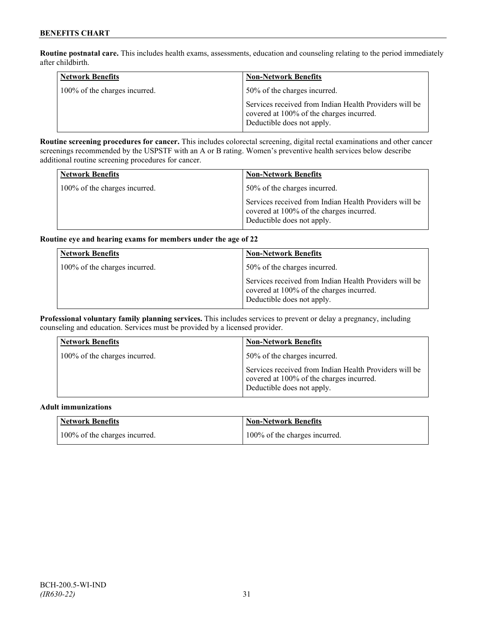**Routine postnatal care.** This includes health exams, assessments, education and counseling relating to the period immediately after childbirth.

| <b>Network Benefits</b>       | <b>Non-Network Benefits</b>                                                                                                      |
|-------------------------------|----------------------------------------------------------------------------------------------------------------------------------|
| 100% of the charges incurred. | 50% of the charges incurred.                                                                                                     |
|                               | Services received from Indian Health Providers will be<br>covered at 100% of the charges incurred.<br>Deductible does not apply. |

**Routine screening procedures for cancer.** This includes colorectal screening, digital rectal examinations and other cancer screenings recommended by the USPSTF with an A or B rating. Women's preventive health services below describe additional routine screening procedures for cancer.

| <b>Network Benefits</b>       | <b>Non-Network Benefits</b>                                                                                                      |
|-------------------------------|----------------------------------------------------------------------------------------------------------------------------------|
| 100% of the charges incurred. | 50% of the charges incurred.                                                                                                     |
|                               | Services received from Indian Health Providers will be<br>covered at 100% of the charges incurred.<br>Deductible does not apply. |

### **Routine eye and hearing exams for members under the age of 22**

| <b>Network Benefits</b>       | <b>Non-Network Benefits</b>                                                                                                      |
|-------------------------------|----------------------------------------------------------------------------------------------------------------------------------|
| 100% of the charges incurred. | 50% of the charges incurred.                                                                                                     |
|                               | Services received from Indian Health Providers will be<br>covered at 100% of the charges incurred.<br>Deductible does not apply. |

**Professional voluntary family planning services.** This includes services to prevent or delay a pregnancy, including counseling and education. Services must be provided by a licensed provider.

| <b>Network Benefits</b>       | <b>Non-Network Benefits</b>                                                                                                      |
|-------------------------------|----------------------------------------------------------------------------------------------------------------------------------|
| 100% of the charges incurred. | 50% of the charges incurred.                                                                                                     |
|                               | Services received from Indian Health Providers will be<br>covered at 100% of the charges incurred.<br>Deductible does not apply. |

### **Adult immunizations**

| Network Benefits              | <b>Non-Network Benefits</b>   |
|-------------------------------|-------------------------------|
| 100% of the charges incurred. | 100% of the charges incurred. |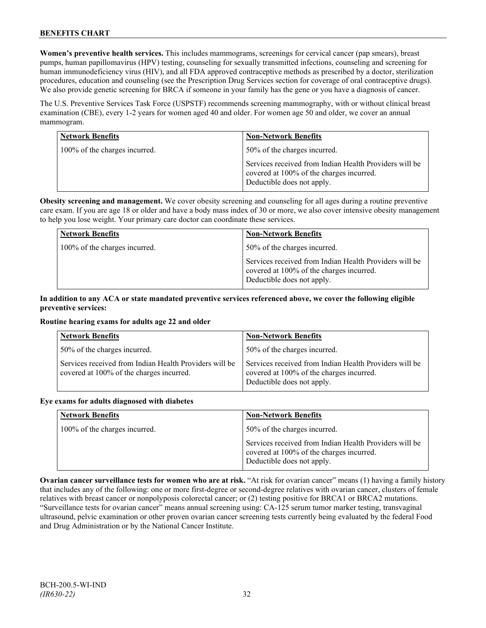**Women's preventive health services.** This includes mammograms, screenings for cervical cancer (pap smears), breast pumps, human papillomavirus (HPV) testing, counseling for sexually transmitted infections, counseling and screening for human immunodeficiency virus (HIV), and all FDA approved contraceptive methods as prescribed by a doctor, sterilization procedures, education and counseling (see the Prescription Drug Services section for coverage of oral contraceptive drugs). We also provide genetic screening for BRCA if someone in your family has the gene or you have a diagnosis of cancer.

The U.S. Preventive Services Task Force (USPSTF) recommends screening mammography, with or without clinical breast examination (CBE), every 1-2 years for women aged 40 and older. For women age 50 and older, we cover an annual mammogram.

| <b>Network Benefits</b>       | <b>Non-Network Benefits</b>                                                                                                      |
|-------------------------------|----------------------------------------------------------------------------------------------------------------------------------|
| 100% of the charges incurred. | 50% of the charges incurred.                                                                                                     |
|                               | Services received from Indian Health Providers will be<br>covered at 100% of the charges incurred.<br>Deductible does not apply. |

**Obesity screening and management.** We cover obesity screening and counseling for all ages during a routine preventive care exam. If you are age 18 or older and have a body mass index of 30 or more, we also cover intensive obesity management to help you lose weight. Your primary care doctor can coordinate these services.

| <b>Network Benefits</b>       | <b>Non-Network Benefits</b>                                                                                                      |
|-------------------------------|----------------------------------------------------------------------------------------------------------------------------------|
| 100% of the charges incurred. | 50% of the charges incurred.                                                                                                     |
|                               | Services received from Indian Health Providers will be<br>covered at 100% of the charges incurred.<br>Deductible does not apply. |

### **In addition to any ACA or state mandated preventive services referenced above, we cover the following eligible preventive services:**

### **Routine hearing exams for adults age 22 and older**

| <b>Network Benefits</b>                                                                            | <b>Non-Network Benefits</b>                                                                                                      |
|----------------------------------------------------------------------------------------------------|----------------------------------------------------------------------------------------------------------------------------------|
| 50% of the charges incurred.                                                                       | 50% of the charges incurred.                                                                                                     |
| Services received from Indian Health Providers will be<br>covered at 100% of the charges incurred. | Services received from Indian Health Providers will be<br>covered at 100% of the charges incurred.<br>Deductible does not apply. |

#### **Eye exams for adults diagnosed with diabetes**

| <b>Network Benefits</b>       | <b>Non-Network Benefits</b>                                                                                                      |
|-------------------------------|----------------------------------------------------------------------------------------------------------------------------------|
| 100% of the charges incurred. | 50% of the charges incurred.                                                                                                     |
|                               | Services received from Indian Health Providers will be<br>covered at 100% of the charges incurred.<br>Deductible does not apply. |

**Ovarian cancer surveillance tests for women who are at risk.** "At risk for ovarian cancer" means (1) having a family history that includes any of the following: one or more first-degree or second-degree relatives with ovarian cancer, clusters of female relatives with breast cancer or nonpolyposis colorectal cancer; or (2) testing positive for BRCA1 or BRCA2 mutations. "Surveillance tests for ovarian cancer" means annual screening using: CA-125 serum tumor marker testing, transvaginal ultrasound, pelvic examination or other proven ovarian cancer screening tests currently being evaluated by the federal Food and Drug Administration or by the National Cancer Institute.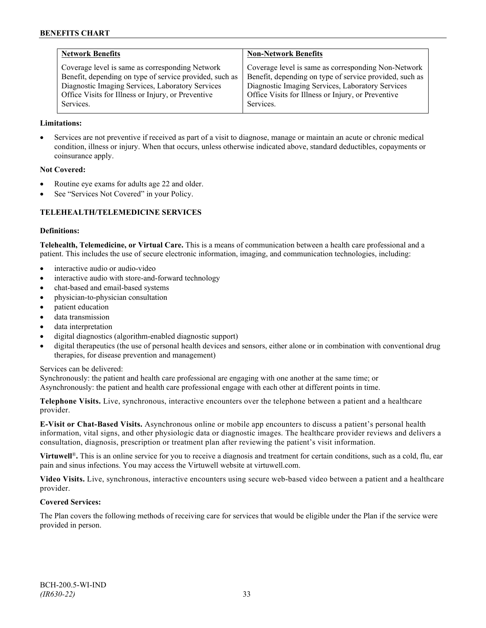| <b>Network Benefits</b>                                 | <b>Non-Network Benefits</b>                             |
|---------------------------------------------------------|---------------------------------------------------------|
| Coverage level is same as corresponding Network         | Coverage level is same as corresponding Non-Network     |
| Benefit, depending on type of service provided, such as | Benefit, depending on type of service provided, such as |
| Diagnostic Imaging Services, Laboratory Services        | Diagnostic Imaging Services, Laboratory Services        |
| Office Visits for Illness or Injury, or Preventive      | Office Visits for Illness or Injury, or Preventive      |
| Services.                                               | Services.                                               |

### **Limitations:**

• Services are not preventive if received as part of a visit to diagnose, manage or maintain an acute or chronic medical condition, illness or injury. When that occurs, unless otherwise indicated above, standard deductibles, copayments or coinsurance apply.

#### **Not Covered:**

- Routine eye exams for adults age 22 and older.
- See "Services Not Covered" in your Policy.

### **TELEHEALTH/TELEMEDICINE SERVICES**

#### **Definitions:**

**Telehealth, Telemedicine, or Virtual Care.** This is a means of communication between a health care professional and a patient. This includes the use of secure electronic information, imaging, and communication technologies, including:

- interactive audio or audio-video
- interactive audio with store-and-forward technology
- chat-based and email-based systems
- physician-to-physician consultation
- patient education
- data transmission
- data interpretation
- digital diagnostics (algorithm-enabled diagnostic support)
- digital therapeutics (the use of personal health devices and sensors, either alone or in combination with conventional drug therapies, for disease prevention and management)

#### Services can be delivered:

Synchronously: the patient and health care professional are engaging with one another at the same time; or Asynchronously: the patient and health care professional engage with each other at different points in time.

**Telephone Visits.** Live, synchronous, interactive encounters over the telephone between a patient and a healthcare provider.

**E-Visit or Chat-Based Visits.** Asynchronous online or mobile app encounters to discuss a patient's personal health information, vital signs, and other physiologic data or diagnostic images. The healthcare provider reviews and delivers a consultation, diagnosis, prescription or treatment plan after reviewing the patient's visit information.

**Virtuwell<sup>®</sup>.** This is an online service for you to receive a diagnosis and treatment for certain conditions, such as a cold, flu, ear pain and sinus infections. You may access the Virtuwell website at [virtuwell.com.](https://www.virtuwell.com/)

**Video Visits.** Live, synchronous, interactive encounters using secure web-based video between a patient and a healthcare provider.

#### **Covered Services:**

The Plan covers the following methods of receiving care for services that would be eligible under the Plan if the service were provided in person.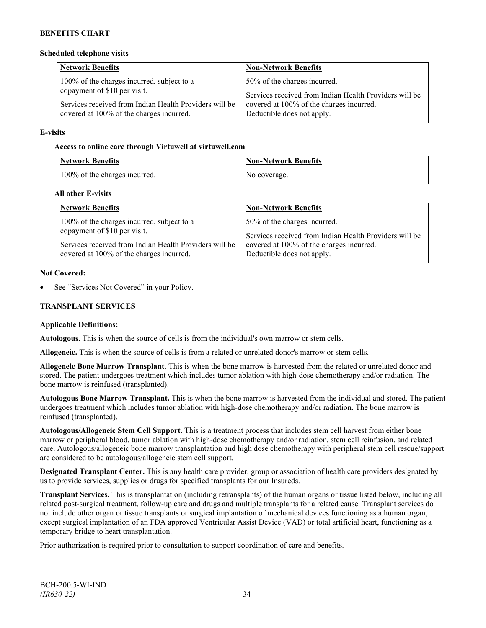#### **Scheduled telephone visits**

| <b>Network Benefits</b>                                | <b>Non-Network Benefits</b>                            |
|--------------------------------------------------------|--------------------------------------------------------|
| 100% of the charges incurred, subject to a             | 50% of the charges incurred.                           |
| copayment of \$10 per visit.                           | Services received from Indian Health Providers will be |
| Services received from Indian Health Providers will be | covered at 100% of the charges incurred.               |
| covered at 100% of the charges incurred.               | Deductible does not apply.                             |

#### **E-visits**

#### **Access to online care through Virtuwell at [virtuwell.com](http://www.virtuwell.com/)**

| <b>Network Benefits</b>       | <b>Non-Network Benefits</b> |
|-------------------------------|-----------------------------|
| 100% of the charges incurred. | No coverage.                |

### **All other E-visits**

| <b>Network Benefits</b>                                | <b>Non-Network Benefits</b>                            |
|--------------------------------------------------------|--------------------------------------------------------|
| 100% of the charges incurred, subject to a             | 50% of the charges incurred.                           |
| copayment of \$10 per visit.                           | Services received from Indian Health Providers will be |
| Services received from Indian Health Providers will be | covered at 100% of the charges incurred.               |
| covered at 100% of the charges incurred.               | Deductible does not apply.                             |

#### **Not Covered:**

See "Services Not Covered" in your Policy.

### **TRANSPLANT SERVICES**

#### **Applicable Definitions:**

**Autologous.** This is when the source of cells is from the individual's own marrow or stem cells.

**Allogeneic.** This is when the source of cells is from a related or unrelated donor's marrow or stem cells.

**Allogeneic Bone Marrow Transplant.** This is when the bone marrow is harvested from the related or unrelated donor and stored. The patient undergoes treatment which includes tumor ablation with high-dose chemotherapy and/or radiation. The bone marrow is reinfused (transplanted).

**Autologous Bone Marrow Transplant.** This is when the bone marrow is harvested from the individual and stored. The patient undergoes treatment which includes tumor ablation with high-dose chemotherapy and/or radiation. The bone marrow is reinfused (transplanted).

**Autologous/Allogeneic Stem Cell Support.** This is a treatment process that includes stem cell harvest from either bone marrow or peripheral blood, tumor ablation with high-dose chemotherapy and/or radiation, stem cell reinfusion, and related care. Autologous/allogeneic bone marrow transplantation and high dose chemotherapy with peripheral stem cell rescue/support are considered to be autologous/allogeneic stem cell support.

**Designated Transplant Center.** This is any health care provider, group or association of health care providers designated by us to provide services, supplies or drugs for specified transplants for our Insureds.

**Transplant Services.** This is transplantation (including retransplants) of the human organs or tissue listed below, including all related post-surgical treatment, follow-up care and drugs and multiple transplants for a related cause. Transplant services do not include other organ or tissue transplants or surgical implantation of mechanical devices functioning as a human organ, except surgical implantation of an FDA approved Ventricular Assist Device (VAD) or total artificial heart, functioning as a temporary bridge to heart transplantation.

Prior authorization is required prior to consultation to support coordination of care and benefits.